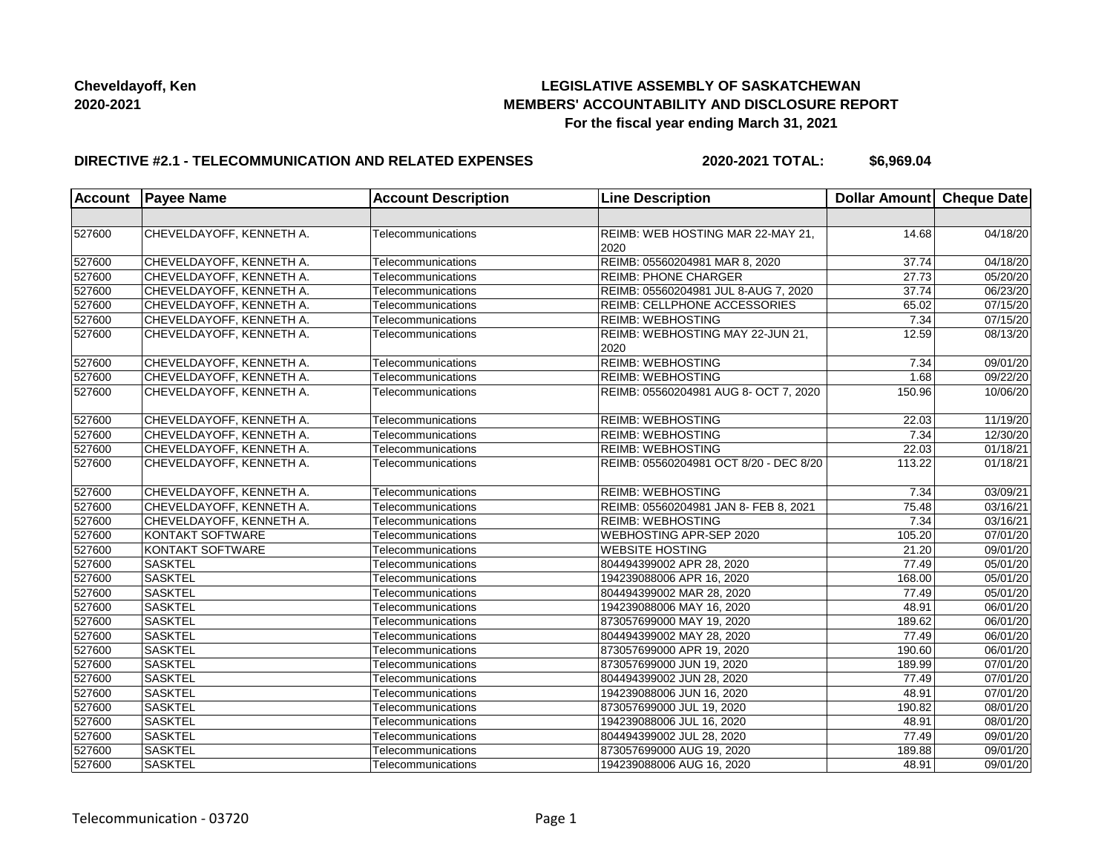# **LEGISLATIVE ASSEMBLY OF SASKATCHEWAN MEMBERS' ACCOUNTABILITY AND DISCLOSURE REPORT For the fiscal year ending March 31, 2021**

#### **DIRECTIVE #2.1 - TELECOMMUNICATION AND RELATED EXPENSES**

**2020-2021 TOTAL: \$6,969.04**

| <b>Account</b> | <b>Payee Name</b>        | <b>Account Description</b> | <b>Line Description</b>                   | Dollar Amount Cheque Date |                       |
|----------------|--------------------------|----------------------------|-------------------------------------------|---------------------------|-----------------------|
|                |                          |                            |                                           |                           |                       |
| 527600         | CHEVELDAYOFF, KENNETH A. | Telecommunications         | REIMB: WEB HOSTING MAR 22-MAY 21,<br>2020 | 14.68                     | 04/18/20              |
| 527600         | CHEVELDAYOFF, KENNETH A. | Telecommunications         | REIMB: 05560204981 MAR 8, 2020            | 37.74                     | 04/18/20              |
| 527600         | CHEVELDAYOFF, KENNETH A. | Telecommunications         | <b>REIMB: PHONE CHARGER</b>               | 27.73                     | 05/20/20              |
| 527600         | CHEVELDAYOFF, KENNETH A. | Telecommunications         | REIMB: 05560204981 JUL 8-AUG 7, 2020      | 37.74                     | 06/23/20              |
| 527600         | CHEVELDAYOFF, KENNETH A. | Telecommunications         | REIMB: CELLPHONE ACCESSORIES              | 65.02                     | 07/15/20              |
| 527600         | CHEVELDAYOFF, KENNETH A. | Telecommunications         | <b>REIMB: WEBHOSTING</b>                  | 7.34                      | 07/15/20              |
| 527600         | CHEVELDAYOFF, KENNETH A. | Telecommunications         | REIMB: WEBHOSTING MAY 22-JUN 21,<br>2020  | 12.59                     | 08/13/20              |
| 527600         | CHEVELDAYOFF, KENNETH A. | Telecommunications         | <b>REIMB: WEBHOSTING</b>                  | 7.34                      | 09/01/20              |
| 527600         | CHEVELDAYOFF, KENNETH A. | Telecommunications         | <b>REIMB: WEBHOSTING</b>                  | 1.68                      | 09/22/20              |
| 527600         | CHEVELDAYOFF, KENNETH A. | Telecommunications         | REIMB: 05560204981 AUG 8- OCT 7, 2020     | 150.96                    | 10/06/20              |
| 527600         | CHEVELDAYOFF, KENNETH A. | Telecommunications         | <b>REIMB: WEBHOSTING</b>                  | 22.03                     | 11/19/20              |
| 527600         | CHEVELDAYOFF, KENNETH A. | Telecommunications         | <b>REIMB: WEBHOSTING</b>                  | 7.34                      | 12/30/20              |
| 527600         | CHEVELDAYOFF, KENNETH A. | Telecommunications         | <b>REIMB: WEBHOSTING</b>                  | 22.03                     | 01/18/21              |
| 527600         | CHEVELDAYOFF, KENNETH A. | Telecommunications         | REIMB: 05560204981 OCT 8/20 - DEC 8/20    | 113.22                    | 01/18/21              |
| 527600         | CHEVELDAYOFF, KENNETH A. | Telecommunications         | <b>REIMB: WEBHOSTING</b>                  | 7.34                      | 03/09/21              |
| 527600         | CHEVELDAYOFF, KENNETH A. | Telecommunications         | REIMB: 05560204981 JAN 8- FEB 8, 2021     | 75.48                     | 03/16/21              |
| 527600         | CHEVELDAYOFF, KENNETH A. | Telecommunications         | <b>REIMB: WEBHOSTING</b>                  | 7.34                      | 03/16/21              |
| 527600         | KONTAKT SOFTWARE         | Telecommunications         | <b>WEBHOSTING APR-SEP 2020</b>            | 105.20                    | 07/01/20              |
| 527600         | KONTAKT SOFTWARE         | Telecommunications         | <b>WEBSITE HOSTING</b>                    | 21.20                     | 09/01/20              |
| 527600         | <b>SASKTEL</b>           | Telecommunications         | 804494399002 APR 28, 2020                 | 77.49                     | 05/01/20              |
| 527600         | <b>SASKTEL</b>           | Telecommunications         | 194239088006 APR 16, 2020                 | 168.00                    | 05/01/20              |
| 527600         | <b>SASKTEL</b>           | Telecommunications         | 804494399002 MAR 28, 2020                 | 77.49                     | $\overline{05/0}1/20$ |
| 527600         | <b>SASKTEL</b>           | Telecommunications         | 194239088006 MAY 16, 2020                 | 48.91                     | 06/01/20              |
| 527600         | <b>SASKTEL</b>           | Telecommunications         | 873057699000 MAY 19, 2020                 | 189.62                    | 06/01/20              |
| 527600         | <b>SASKTEL</b>           | Telecommunications         | 804494399002 MAY 28, 2020                 | 77.49                     | 06/01/20              |
| 527600         | SASKTEL                  | Telecommunications         | 873057699000 APR 19, 2020                 | 190.60                    | 06/01/20              |
| 527600         | <b>SASKTEL</b>           | Telecommunications         | 873057699000 JUN 19, 2020                 | 189.99                    | 07/01/20              |
| 527600         | <b>SASKTEL</b>           | Telecommunications         | 804494399002 JUN 28, 2020                 | 77.49                     | 07/01/20              |
| 527600         | <b>SASKTEL</b>           | Telecommunications         | 194239088006 JUN 16, 2020                 | 48.91                     | 07/01/20              |
| 527600         | <b>SASKTEL</b>           | Telecommunications         | 873057699000 JUL 19, 2020                 | 190.82                    | 08/01/20              |
| 527600         | <b>SASKTEL</b>           | Telecommunications         | 194239088006 JUL 16, 2020                 | 48.91                     | 08/01/20              |
| 527600         | <b>SASKTEL</b>           | Telecommunications         | 804494399002 JUL 28, 2020                 | 77.49                     | 09/01/20              |
| 527600         | <b>SASKTEL</b>           | Telecommunications         | 873057699000 AUG 19, 2020                 | 189.88                    | 09/01/20              |
| 527600         | <b>SASKTEL</b>           | Telecommunications         | 194239088006 AUG 16, 2020                 | 48.91                     | 09/01/20              |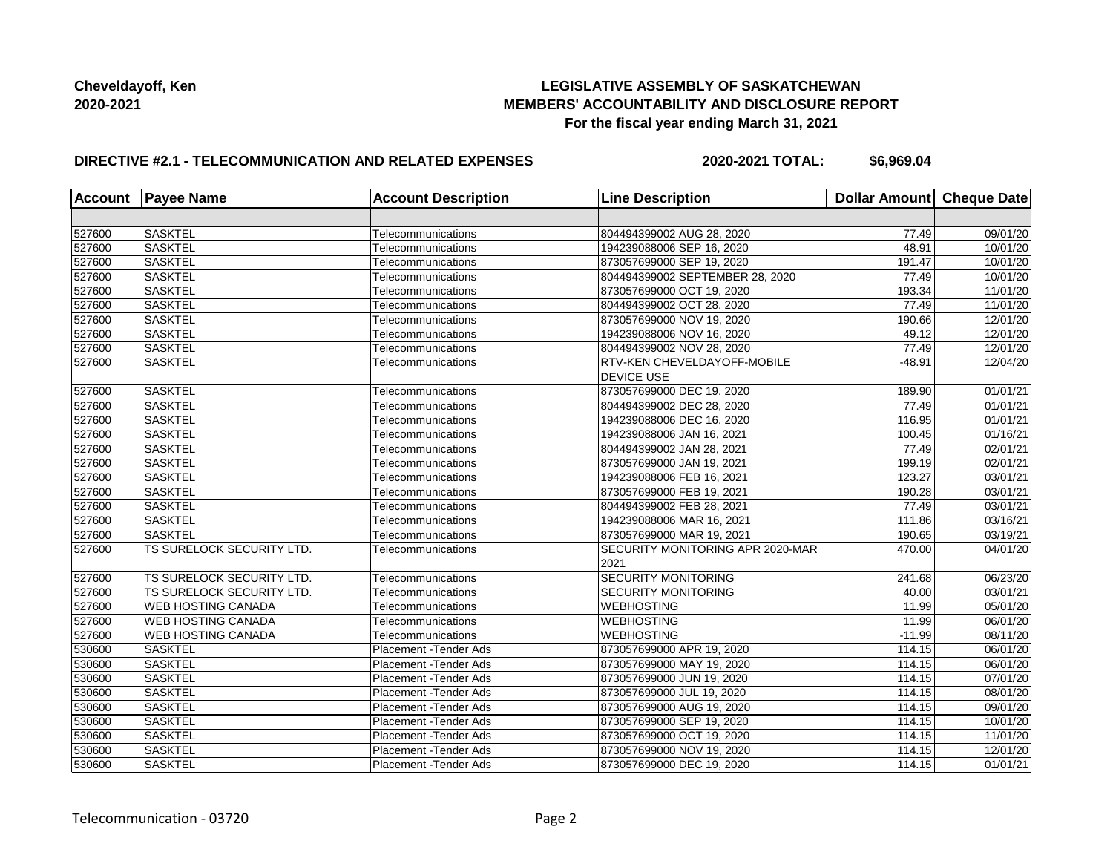# **LEGISLATIVE ASSEMBLY OF SASKATCHEWAN MEMBERS' ACCOUNTABILITY AND DISCLOSURE REPORT For the fiscal year ending March 31, 2021**

# **DIRECTIVE #2.1 - TELECOMMUNICATION AND RELATED EXPENSES**

**2020-2021 TOTAL: \$6,969.04**

| <b>Account</b> | <b>Payee Name</b>         | <b>Account Description</b> | <b>Line Description</b>                                 | Dollar Amount Cheque Date |                       |
|----------------|---------------------------|----------------------------|---------------------------------------------------------|---------------------------|-----------------------|
|                |                           |                            |                                                         |                           |                       |
| 527600         | <b>SASKTEL</b>            | Telecommunications         | 804494399002 AUG 28, 2020                               | 77.49                     | 09/01/20              |
| 527600         | <b>SASKTEL</b>            | Telecommunications         | 194239088006 SEP 16, 2020                               | 48.91                     | 10/01/20              |
| 527600         | <b>SASKTEL</b>            | Telecommunications         | 873057699000 SEP 19, 2020                               | 191.47                    | 10/01/20              |
| 527600         | <b>SASKTEL</b>            | Telecommunications         | 804494399002 SEPTEMBER 28, 2020                         | 77.49                     | 10/01/20              |
| 527600         | <b>SASKTEL</b>            | Telecommunications         | 873057699000 OCT 19, 2020                               | 193.34                    | 11/01/20              |
| 527600         | <b>SASKTEL</b>            | Telecommunications         | 804494399002 OCT 28, 2020                               | 77.49                     | 11/01/20              |
| 527600         | <b>SASKTEL</b>            | Telecommunications         | 873057699000 NOV 19, 2020                               | 190.66                    | 12/01/20              |
| 527600         | <b>SASKTEL</b>            | Telecommunications         | 194239088006 NOV 16, 2020                               | 49.12                     | 12/01/20              |
| 527600         | <b>SASKTEL</b>            | Telecommunications         | 804494399002 NOV 28, 2020                               | 77.49                     | 12/01/20              |
| 527600         | <b>SASKTEL</b>            | Telecommunications         | <b>RTV-KEN CHEVELDAYOFF-MOBILE</b><br><b>DEVICE USE</b> | $-48.91$                  | 12/04/20              |
| 527600         | <b>SASKTEL</b>            | Telecommunications         | 873057699000 DEC 19, 2020                               | 189.90                    | $\overline{01}/01/21$ |
| 527600         | <b>SASKTEL</b>            | Telecommunications         | 804494399002 DEC 28, 2020                               | 77.49                     | 01/01/21              |
| 527600         | <b>SASKTEL</b>            | Telecommunications         | 194239088006 DEC 16, 2020                               | 116.95                    | 01/01/21              |
| 527600         | SASKTEL                   | Telecommunications         | 194239088006 JAN 16, 2021                               | 100.45                    | 01/16/21              |
| 527600         | <b>SASKTEL</b>            | Telecommunications         | 804494399002 JAN 28, 2021                               | 77.49                     | $\overline{02}/01/21$ |
| 527600         | <b>SASKTEL</b>            | Telecommunications         | 873057699000 JAN 19, 2021                               | 199.19                    | $\overline{02}/01/21$ |
| 527600         | <b>SASKTEL</b>            | Telecommunications         | 194239088006 FEB 16, 2021                               | 123.27                    | 03/01/21              |
| 527600         | <b>SASKTEL</b>            | Telecommunications         | 873057699000 FEB 19, 2021                               | 190.28                    | 03/01/21              |
| 527600         | <b>SASKTEL</b>            | Telecommunications         | 804494399002 FEB 28, 2021                               | 77.49                     | 03/01/21              |
| 527600         | <b>SASKTEL</b>            | Telecommunications         | 194239088006 MAR 16, 2021                               | 111.86                    | 03/16/21              |
| 527600         | <b>SASKTEL</b>            | Telecommunications         | 873057699000 MAR 19, 2021                               | 190.65                    | 03/19/21              |
| 527600         | TS SURELOCK SECURITY LTD. | Telecommunications         | SECURITY MONITORING APR 2020-MAR                        | 470.00                    | 04/01/20              |
|                |                           |                            | 2021                                                    |                           |                       |
| 527600         | TS SURELOCK SECURITY LTD. | Telecommunications         | <b>SECURITY MONITORING</b>                              | 241.68                    | 06/23/20              |
| 527600         | TS SURELOCK SECURITY LTD. | Telecommunications         | <b>SECURITY MONITORING</b>                              | 40.00                     | 03/01/21              |
| 527600         | <b>WEB HOSTING CANADA</b> | Telecommunications         | <b>WEBHOSTING</b>                                       | 11.99                     | 05/01/20              |
| 527600         | <b>WEB HOSTING CANADA</b> | Telecommunications         | <b>WEBHOSTING</b>                                       | 11.99                     | 06/01/20              |
| 527600         | <b>WEB HOSTING CANADA</b> | Telecommunications         | <b>WEBHOSTING</b>                                       | $-11.99$                  | 08/11/20              |
| 530600         | <b>SASKTEL</b>            | Placement - Tender Ads     | 873057699000 APR 19, 2020                               | 114.15                    | $\overline{06}/01/20$ |
| 530600         | <b>SASKTEL</b>            | Placement - Tender Ads     | 873057699000 MAY 19, 2020                               | 114.15                    | 06/01/20              |
| 530600         | <b>SASKTEL</b>            | Placement - Tender Ads     | 873057699000 JUN 19, 2020                               | 114.15                    | 07/01/20              |
| 530600         | <b>SASKTEL</b>            | Placement - Tender Ads     | 873057699000 JUL 19, 2020                               | 114.15                    | 08/01/20              |
| 530600         | <b>SASKTEL</b>            | Placement - Tender Ads     | 873057699000 AUG 19, 2020                               | 114.15                    | 09/01/20              |
| 530600         | <b>SASKTEL</b>            | Placement - Tender Ads     | 873057699000 SEP 19, 2020                               | 114.15                    | 10/01/20              |
| 530600         | <b>SASKTEL</b>            | Placement - Tender Ads     | 873057699000 OCT 19, 2020                               | 114.15                    | 11/01/20              |
| 530600         | <b>SASKTEL</b>            | Placement - Tender Ads     | 873057699000 NOV 19, 2020                               | 114.15                    | 12/01/20              |
| 530600         | <b>SASKTEL</b>            | Placement - Tender Ads     | 873057699000 DEC 19, 2020                               | 114.15                    | 01/01/21              |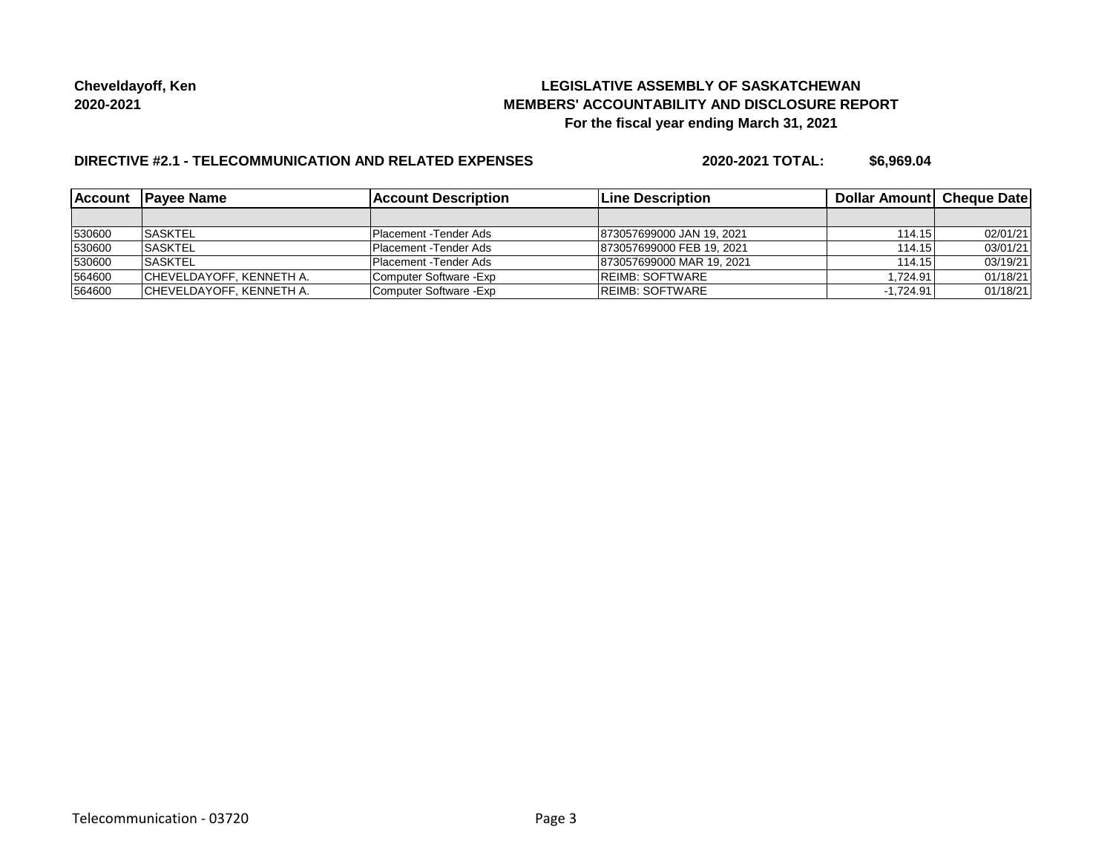# **LEGISLATIVE ASSEMBLY OF SASKATCHEWAN MEMBERS' ACCOUNTABILITY AND DISCLOSURE REPORT For the fiscal year ending March 31, 2021**

# **DIRECTIVE #2.1 - TELECOMMUNICATION AND RELATED EXPENSES**

**2020-2021 TOTAL: \$6,969.04**

|        | Account Payee Name        | lAccount Description    | <b>Line Description</b>   | <b>Dollar Amountl Cheque Date</b> |          |
|--------|---------------------------|-------------------------|---------------------------|-----------------------------------|----------|
|        |                           |                         |                           |                                   |          |
| 530600 | <b>ISASKTEL</b>           | Placement - Tender Ads  | 873057699000 JAN 19, 2021 | 114.15                            | 02/01/21 |
| 530600 | <b>SASKTEL</b>            | Placement -Tender Ads   | 873057699000 FEB 19, 2021 | 114.15                            | 03/01/21 |
| 530600 | <b>SASKTEL</b>            | Placement - Tender Ads  | 873057699000 MAR 19, 2021 | 114.15                            | 03/19/21 |
| 564600 | ICHEVELDAYOFF, KENNETH A. | Computer Software -Exp  | <b>IREIMB: SOFTWARE</b>   | 1.724.91                          | 01/18/21 |
| 564600 | CHEVELDAYOFF, KENNETH A.  | Computer Software - Exp | <b>REIMB: SOFTWARE</b>    | $-1.724.91$                       | 01/18/21 |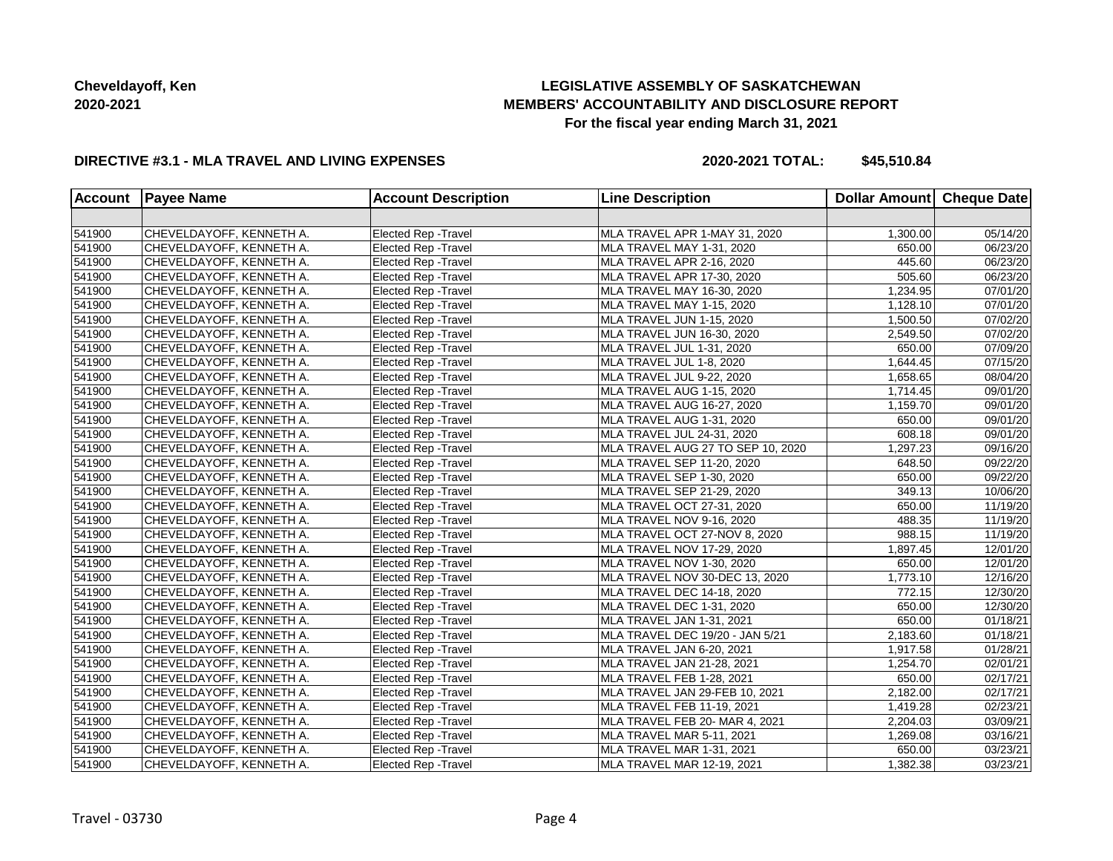# **LEGISLATIVE ASSEMBLY OF SASKATCHEWAN MEMBERS' ACCOUNTABILITY AND DISCLOSURE REPORT For the fiscal year ending March 31, 2021**

#### **DIRECTIVE #3.1 - MLA TRAVEL AND LIVING EXPENSES**

**2020-2021 TOTAL: \$45,510.84**

| <b>Account</b> | <b>Payee Name</b>        | <b>Account Description</b>  | <b>Line Description</b>           | Dollar Amount Cheque Date |                       |
|----------------|--------------------------|-----------------------------|-----------------------------------|---------------------------|-----------------------|
|                |                          |                             |                                   |                           |                       |
| 541900         | CHEVELDAYOFF, KENNETH A. | Elected Rep - Travel        | MLA TRAVEL APR 1-MAY 31, 2020     | 1,300.00                  | 05/14/20              |
| 541900         | CHEVELDAYOFF, KENNETH A. | Elected Rep - Travel        | MLA TRAVEL MAY 1-31, 2020         | 650.00                    | 06/23/20              |
| 541900         | CHEVELDAYOFF, KENNETH A. | Elected Rep - Travel        | MLA TRAVEL APR 2-16, 2020         | 445.60                    | 06/23/20              |
| 541900         | CHEVELDAYOFF, KENNETH A. | Elected Rep - Travel        | MLA TRAVEL APR 17-30, 2020        | 505.60                    | 06/23/20              |
| 541900         | CHEVELDAYOFF, KENNETH A. | <b>Elected Rep - Travel</b> | MLA TRAVEL MAY 16-30, 2020        | 1,234.95                  | 07/01/20              |
| 541900         | CHEVELDAYOFF, KENNETH A. | <b>Elected Rep - Travel</b> | MLA TRAVEL MAY 1-15, 2020         | 1,128.10                  | 07/01/20              |
| 541900         | CHEVELDAYOFF, KENNETH A. | <b>Elected Rep - Travel</b> | MLA TRAVEL JUN 1-15, 2020         | 1,500.50                  | 07/02/20              |
| 541900         | CHEVELDAYOFF, KENNETH A. | <b>Elected Rep - Travel</b> | MLA TRAVEL JUN 16-30, 2020        | 2,549.50                  | 07/02/20              |
| 541900         | CHEVELDAYOFF, KENNETH A. | <b>Elected Rep - Travel</b> | MLA TRAVEL JUL 1-31, 2020         | 650.00                    | 07/09/20              |
| 541900         | CHEVELDAYOFF, KENNETH A. | <b>Elected Rep - Travel</b> | MLA TRAVEL JUL 1-8, 2020          | 1,644.45                  | 07/15/20              |
| 541900         | CHEVELDAYOFF, KENNETH A. | <b>Elected Rep - Travel</b> | MLA TRAVEL JUL 9-22, 2020         | 1,658.65                  | 08/04/20              |
| 541900         | CHEVELDAYOFF, KENNETH A. | <b>Elected Rep - Travel</b> | MLA TRAVEL AUG 1-15, 2020         | 1,714.45                  | 09/01/20              |
| 541900         | CHEVELDAYOFF, KENNETH A. | <b>Elected Rep - Travel</b> | MLA TRAVEL AUG 16-27, 2020        | 1,159.70                  | 09/01/20              |
| 541900         | CHEVELDAYOFF, KENNETH A. | <b>Elected Rep - Travel</b> | MLA TRAVEL AUG 1-31, 2020         | 650.00                    | 09/01/20              |
| 541900         | CHEVELDAYOFF, KENNETH A. | Elected Rep - Travel        | MLA TRAVEL JUL 24-31, 2020        | 608.18                    | 09/01/20              |
| 541900         | CHEVELDAYOFF, KENNETH A. | Elected Rep - Travel        | MLA TRAVEL AUG 27 TO SEP 10, 2020 | 1,297.23                  | 09/16/20              |
| 541900         | CHEVELDAYOFF, KENNETH A. | Elected Rep - Travel        | MLA TRAVEL SEP 11-20, 2020        | 648.50                    | 09/22/20              |
| 541900         | CHEVELDAYOFF, KENNETH A. | <b>Elected Rep - Travel</b> | MLA TRAVEL SEP 1-30, 2020         | 650.00                    | $\overline{09}/22/20$ |
| 541900         | CHEVELDAYOFF, KENNETH A. | Elected Rep - Travel        | MLA TRAVEL SEP 21-29, 2020        | 349.13                    | 10/06/20              |
| 541900         | CHEVELDAYOFF, KENNETH A. | Elected Rep - Travel        | MLA TRAVEL OCT 27-31, 2020        | 650.00                    | 11/19/20              |
| 541900         | CHEVELDAYOFF, KENNETH A. | Elected Rep - Travel        | MLA TRAVEL NOV 9-16, 2020         | 488.35                    | 11/19/20              |
| 541900         | CHEVELDAYOFF, KENNETH A. | Elected Rep - Travel        | MLA TRAVEL OCT 27-NOV 8, 2020     | 988.15                    | 11/19/20              |
| 541900         | CHEVELDAYOFF, KENNETH A. | <b>Elected Rep - Travel</b> | MLA TRAVEL NOV 17-29, 2020        | 1,897.45                  | 12/01/20              |
| 541900         | CHEVELDAYOFF, KENNETH A. | Elected Rep - Travel        | MLA TRAVEL NOV 1-30, 2020         | 650.00                    | 12/01/20              |
| 541900         | CHEVELDAYOFF, KENNETH A. | Elected Rep - Travel        | MLA TRAVEL NOV 30-DEC 13, 2020    | 1,773.10                  | 12/16/20              |
| 541900         | CHEVELDAYOFF, KENNETH A. | <b>Elected Rep - Travel</b> | MLA TRAVEL DEC 14-18, 2020        | 772.15                    | 12/30/20              |
| 541900         | CHEVELDAYOFF, KENNETH A. | Elected Rep - Travel        | MLA TRAVEL DEC 1-31, 2020         | 650.00                    | 12/30/20              |
| 541900         | CHEVELDAYOFF, KENNETH A. | Elected Rep - Travel        | MLA TRAVEL JAN 1-31, 2021         | 650.00                    | 01/18/21              |
| 541900         | CHEVELDAYOFF, KENNETH A. | <b>Elected Rep - Travel</b> | MLA TRAVEL DEC 19/20 - JAN 5/21   | 2,183.60                  | 01/18/21              |
| 541900         | CHEVELDAYOFF, KENNETH A. | <b>Elected Rep - Travel</b> | MLA TRAVEL JAN 6-20, 2021         | 1,917.58                  | 01/28/21              |
| 541900         | CHEVELDAYOFF, KENNETH A. | Elected Rep - Travel        | MLA TRAVEL JAN 21-28, 2021        | 1,254.70                  | 02/01/21              |
| 541900         | CHEVELDAYOFF, KENNETH A. | <b>Elected Rep - Travel</b> | MLA TRAVEL FEB 1-28, 2021         | 650.00                    | 02/17/21              |
| 541900         | CHEVELDAYOFF, KENNETH A. | <b>Elected Rep - Travel</b> | MLA TRAVEL JAN 29-FEB 10, 2021    | 2,182.00                  | 02/17/21              |
| 541900         | CHEVELDAYOFF, KENNETH A. | <b>Elected Rep - Travel</b> | MLA TRAVEL FEB 11-19, 2021        | 1,419.28                  | 02/23/21              |
| 541900         | CHEVELDAYOFF, KENNETH A. | Elected Rep - Travel        | MLA TRAVEL FEB 20- MAR 4, 2021    | 2,204.03                  | 03/09/21              |
| 541900         | CHEVELDAYOFF, KENNETH A. | Elected Rep - Travel        | MLA TRAVEL MAR 5-11, 2021         | 1,269.08                  | 03/16/21              |
| 541900         | CHEVELDAYOFF, KENNETH A. | Elected Rep - Travel        | MLA TRAVEL MAR 1-31, 2021         | 650.00                    | 03/23/21              |
| 541900         | CHEVELDAYOFF, KENNETH A. | Elected Rep - Travel        | MLA TRAVEL MAR 12-19, 2021        | 1,382.38                  | 03/23/21              |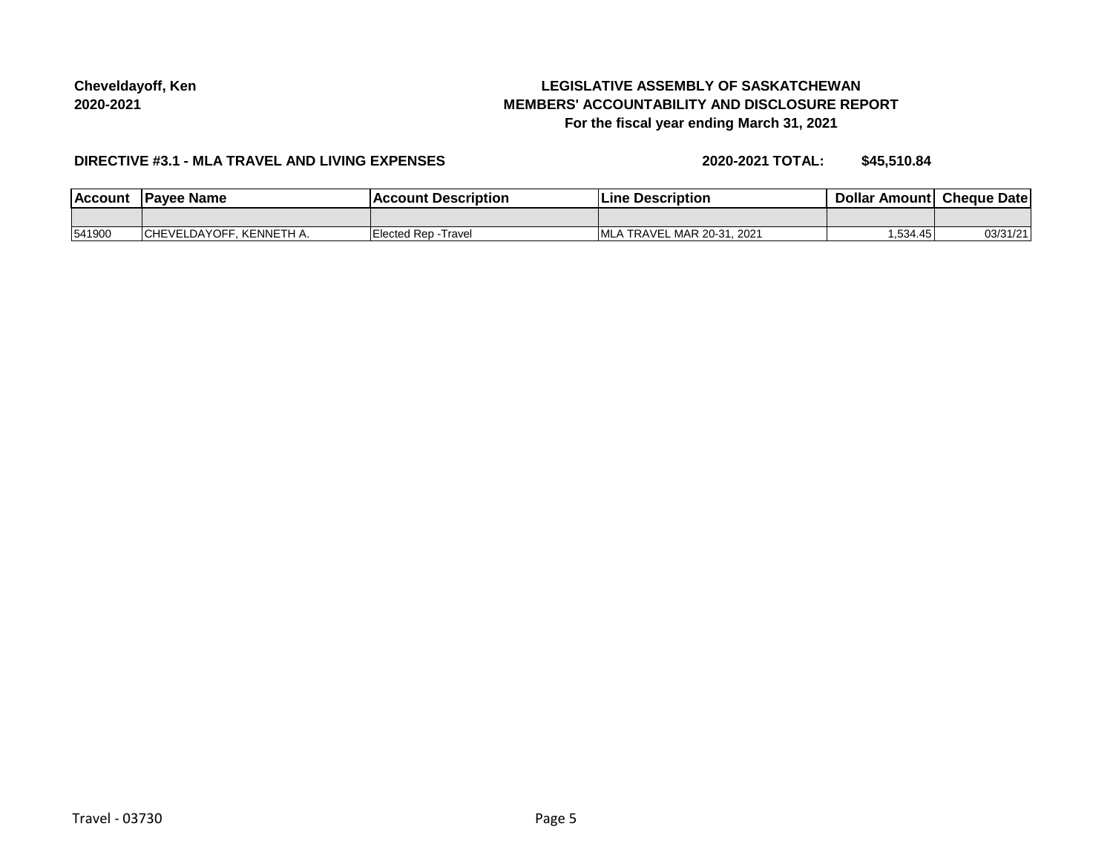# **LEGISLATIVE ASSEMBLY OF SASKATCHEWAN MEMBERS' ACCOUNTABILITY AND DISCLOSURE REPORT For the fiscal year ending March 31, 2021**

#### **DIRECTIVE #3.1 - MLA TRAVEL AND LIVING EXPENSES**

**2020-2021 TOTAL: \$45,510.84**

| <b>Account</b> | Pavee Name                           | <b>Description</b>      | <b>Description</b><br>_ıne                | Dollai<br>Amount | Cheque<br>Date |
|----------------|--------------------------------------|-------------------------|-------------------------------------------|------------------|----------------|
|                |                                      |                         |                                           |                  |                |
| 541900         | KENNETH A.<br><b>CHEVEL</b><br>_∪A⊻' | Elected Rep -<br>Travel | L MAR 20-31, 2021<br><b>MLA</b><br>TRAVEL | 534.45. ا        | 03/31/2        |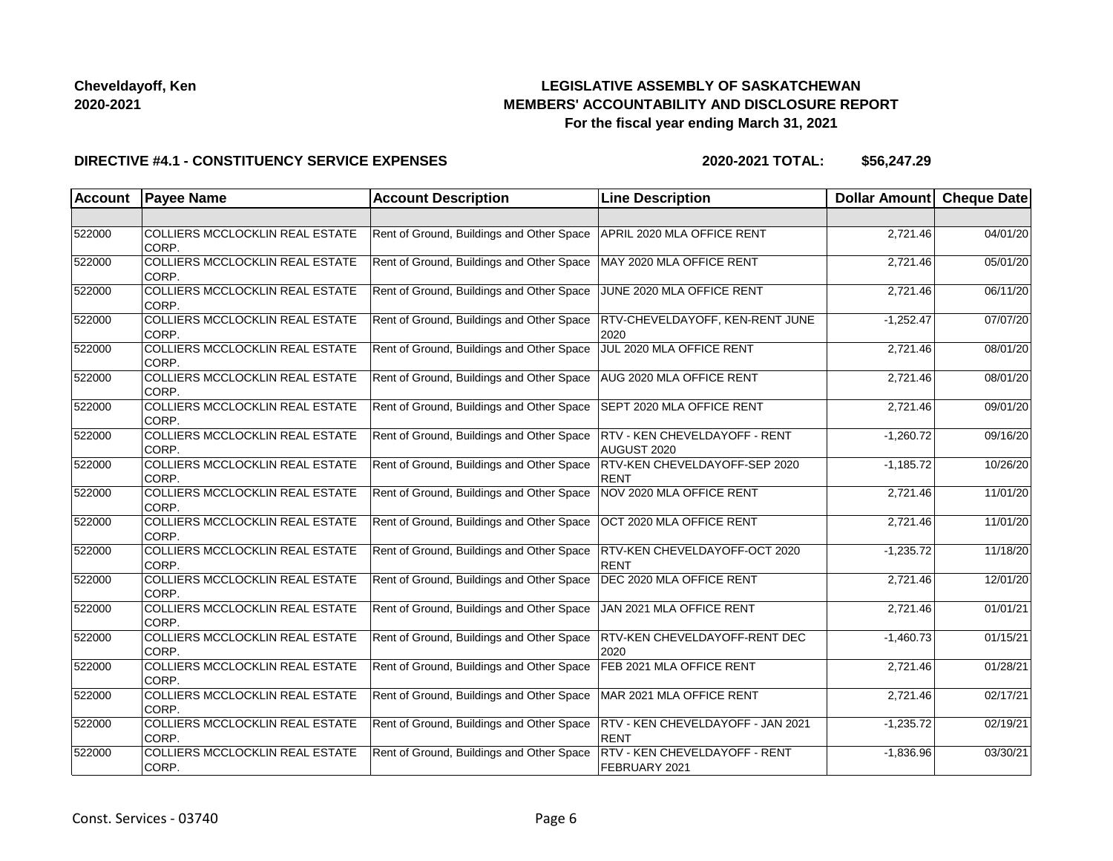# **LEGISLATIVE ASSEMBLY OF SASKATCHEWAN MEMBERS' ACCOUNTABILITY AND DISCLOSURE REPORT For the fiscal year ending March 31, 2021**

#### **DIRECTIVE #4.1 - CONSTITUENCY SERVICE EXPENSES**

| <b>Account</b> | <b>Payee Name</b>                               | <b>Account Description</b>                | <b>Line Description</b>                          | Dollar Amount | <b>Cheque Date</b> |
|----------------|-------------------------------------------------|-------------------------------------------|--------------------------------------------------|---------------|--------------------|
|                |                                                 |                                           |                                                  |               |                    |
| 522000         | COLLIERS MCCLOCKLIN REAL ESTATE<br>CORP.        | Rent of Ground, Buildings and Other Space | APRIL 2020 MLA OFFICE RENT                       | 2,721.46      | 04/01/20           |
| 522000         | <b>COLLIERS MCCLOCKLIN REAL ESTATE</b><br>CORP. | Rent of Ground, Buildings and Other Space | MAY 2020 MLA OFFICE RENT                         | 2,721.46      | 05/01/20           |
| 522000         | COLLIERS MCCLOCKLIN REAL ESTATE<br>CORP.        | Rent of Ground, Buildings and Other Space | JUNE 2020 MLA OFFICE RENT                        | 2,721.46      | 06/11/20           |
| 522000         | COLLIERS MCCLOCKLIN REAL ESTATE<br>CORP.        | Rent of Ground, Buildings and Other Space | <b>RTV-CHEVELDAYOFF, KEN-RENT JUNE</b><br>2020   | $-1,252.47$   | 07/07/20           |
| 522000         | COLLIERS MCCLOCKLIN REAL ESTATE<br>CORP.        | Rent of Ground, Buildings and Other Space | JUL 2020 MLA OFFICE RENT                         | 2,721.46      | 08/01/20           |
| 522000         | COLLIERS MCCLOCKLIN REAL ESTATE<br>CORP.        | Rent of Ground, Buildings and Other Space | AUG 2020 MLA OFFICE RENT                         | 2,721.46      | 08/01/20           |
| 522000         | COLLIERS MCCLOCKLIN REAL ESTATE<br>CORP.        | Rent of Ground, Buildings and Other Space | SEPT 2020 MLA OFFICE RENT                        | 2,721.46      | 09/01/20           |
| 522000         | COLLIERS MCCLOCKLIN REAL ESTATE<br>CORP.        | Rent of Ground, Buildings and Other Space | RTV - KEN CHEVELDAYOFF - RENT<br>AUGUST 2020     | $-1,260.72$   | 09/16/20           |
| 522000         | COLLIERS MCCLOCKLIN REAL ESTATE<br>CORP.        | Rent of Ground, Buildings and Other Space | RTV-KEN CHEVELDAYOFF-SEP 2020<br><b>RENT</b>     | $-1,185.72$   | 10/26/20           |
| 522000         | COLLIERS MCCLOCKLIN REAL ESTATE<br>CORP.        | Rent of Ground, Buildings and Other Space | NOV 2020 MLA OFFICE RENT                         | 2,721.46      | 11/01/20           |
| 522000         | COLLIERS MCCLOCKLIN REAL ESTATE<br>CORP.        | Rent of Ground, Buildings and Other Space | OCT 2020 MLA OFFICE RENT                         | 2,721.46      | 11/01/20           |
| 522000         | COLLIERS MCCLOCKLIN REAL ESTATE<br>CORP.        | Rent of Ground, Buildings and Other Space | RTV-KEN CHEVELDAYOFF-OCT 2020<br><b>RENT</b>     | $-1,235.72$   | 11/18/20           |
| 522000         | COLLIERS MCCLOCKLIN REAL ESTATE<br>CORP.        | Rent of Ground, Buildings and Other Space | DEC 2020 MLA OFFICE RENT                         | 2,721.46      | 12/01/20           |
| 522000         | COLLIERS MCCLOCKLIN REAL ESTATE<br>CORP.        | Rent of Ground, Buildings and Other Space | JAN 2021 MLA OFFICE RENT                         | 2,721.46      | 01/01/21           |
| 522000         | COLLIERS MCCLOCKLIN REAL ESTATE<br>CORP.        | Rent of Ground, Buildings and Other Space | <b>RTV-KEN CHEVELDAYOFF-RENT DEC</b><br>2020     | $-1,460.73$   | 01/15/21           |
| 522000         | COLLIERS MCCLOCKLIN REAL ESTATE<br>CORP.        | Rent of Ground, Buildings and Other Space | FEB 2021 MLA OFFICE RENT                         | 2,721.46      | 01/28/21           |
| 522000         | COLLIERS MCCLOCKLIN REAL ESTATE<br>CORP.        | Rent of Ground, Buildings and Other Space | MAR 2021 MLA OFFICE RENT                         | 2.721.46      | 02/17/21           |
| 522000         | COLLIERS MCCLOCKLIN REAL ESTATE<br>CORP.        | Rent of Ground, Buildings and Other Space | RTV - KEN CHEVELDAYOFF - JAN 2021<br><b>RENT</b> | $-1,235.72$   | 02/19/21           |
| 522000         | COLLIERS MCCLOCKLIN REAL ESTATE<br>CORP.        | Rent of Ground, Buildings and Other Space | RTV - KEN CHEVELDAYOFF - RENT<br>FEBRUARY 2021   | $-1,836.96$   | 03/30/21           |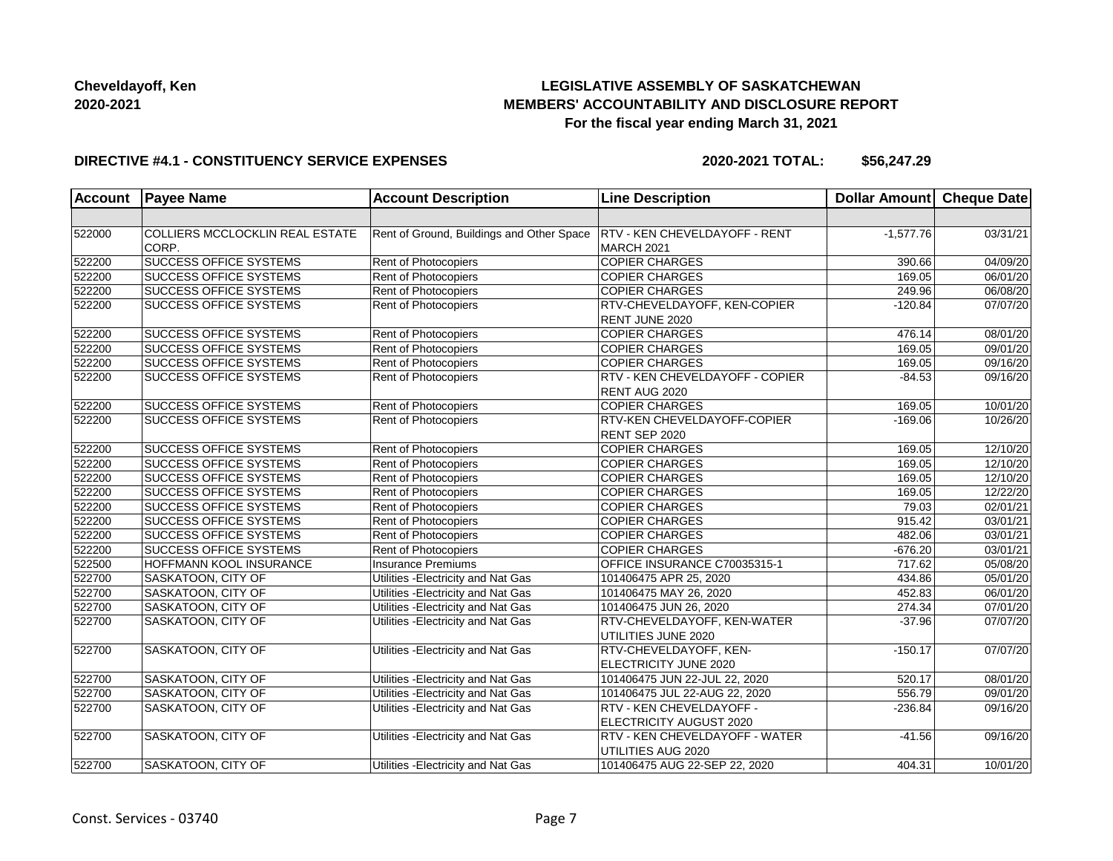# **LEGISLATIVE ASSEMBLY OF SASKATCHEWAN MEMBERS' ACCOUNTABILITY AND DISCLOSURE REPORT For the fiscal year ending March 31, 2021**

#### **DIRECTIVE #4.1 - CONSTITUENCY SERVICE EXPENSES**

| <b>Account</b> | <b>Payee Name</b>               | <b>Account Description</b>                | <b>Line Description</b>               | <b>Dollar Amount</b> | <b>Cheque Date</b> |
|----------------|---------------------------------|-------------------------------------------|---------------------------------------|----------------------|--------------------|
|                |                                 |                                           |                                       |                      |                    |
| 522000         | COLLIERS MCCLOCKLIN REAL ESTATE | Rent of Ground, Buildings and Other Space | <b>RTV - KEN CHEVELDAYOFF - RENT</b>  | $-1,577.76$          | 03/31/21           |
|                | CORP.                           |                                           | MARCH 2021                            |                      |                    |
| 522200         | <b>SUCCESS OFFICE SYSTEMS</b>   | Rent of Photocopiers                      | <b>COPIER CHARGES</b>                 | 390.66               | 04/09/20           |
| 522200         | <b>SUCCESS OFFICE SYSTEMS</b>   | Rent of Photocopiers                      | <b>COPIER CHARGES</b>                 | 169.05               | 06/01/20           |
| 522200         | <b>SUCCESS OFFICE SYSTEMS</b>   | Rent of Photocopiers                      | <b>COPIER CHARGES</b>                 | 249.96               | 06/08/20           |
| 522200         | <b>SUCCESS OFFICE SYSTEMS</b>   | Rent of Photocopiers                      | RTV-CHEVELDAYOFF, KEN-COPIER          | $-120.84$            | 07/07/20           |
|                |                                 |                                           | RENT JUNE 2020                        |                      |                    |
| 522200         | SUCCESS OFFICE SYSTEMS          | Rent of Photocopiers                      | <b>COPIER CHARGES</b>                 | 476.14               | 08/01/20           |
| 522200         | <b>SUCCESS OFFICE SYSTEMS</b>   | Rent of Photocopiers                      | <b>COPIER CHARGES</b>                 | 169.05               | 09/01/20           |
| 522200         | <b>SUCCESS OFFICE SYSTEMS</b>   | Rent of Photocopiers                      | <b>COPIER CHARGES</b>                 | 169.05               | 09/16/20           |
| 522200         | <b>SUCCESS OFFICE SYSTEMS</b>   | <b>Rent of Photocopiers</b>               | RTV - KEN CHEVELDAYOFF - COPIER       | $-84.53$             | 09/16/20           |
|                |                                 |                                           | RENT AUG 2020                         |                      |                    |
| 522200         | <b>SUCCESS OFFICE SYSTEMS</b>   | Rent of Photocopiers                      | <b>COPIER CHARGES</b>                 | 169.05               | 10/01/20           |
| 522200         | <b>SUCCESS OFFICE SYSTEMS</b>   | <b>Rent of Photocopiers</b>               | <b>RTV-KEN CHEVELDAYOFF-COPIER</b>    | $-169.06$            | 10/26/20           |
|                |                                 |                                           | RENT SEP 2020                         |                      |                    |
| 522200         | <b>SUCCESS OFFICE SYSTEMS</b>   | Rent of Photocopiers                      | <b>COPIER CHARGES</b>                 | 169.05               | 12/10/20           |
| 522200         | <b>SUCCESS OFFICE SYSTEMS</b>   | Rent of Photocopiers                      | <b>COPIER CHARGES</b>                 | 169.05               | 12/10/20           |
| 522200         | <b>SUCCESS OFFICE SYSTEMS</b>   | Rent of Photocopiers                      | <b>COPIER CHARGES</b>                 | 169.05               | 12/10/20           |
| 522200         | SUCCESS OFFICE SYSTEMS          | Rent of Photocopiers                      | <b>COPIER CHARGES</b>                 | 169.05               | 12/22/20           |
| 522200         | <b>SUCCESS OFFICE SYSTEMS</b>   | Rent of Photocopiers                      | <b>COPIER CHARGES</b>                 | 79.03                | 02/01/21           |
| 522200         | <b>SUCCESS OFFICE SYSTEMS</b>   | Rent of Photocopiers                      | <b>COPIER CHARGES</b>                 | 915.42               | 03/01/21           |
| 522200         | <b>SUCCESS OFFICE SYSTEMS</b>   | Rent of Photocopiers                      | <b>COPIER CHARGES</b>                 | 482.06               | 03/01/21           |
| 522200         | SUCCESS OFFICE SYSTEMS          | Rent of Photocopiers                      | <b>COPIER CHARGES</b>                 | $-676.20$            | 03/01/21           |
| 522500         | HOFFMANN KOOL INSURANCE         | <b>Insurance Premiums</b>                 | OFFICE INSURANCE C70035315-1          | 717.62               | 05/08/20           |
| 522700         | SASKATOON, CITY OF              | Utilities - Electricity and Nat Gas       | 101406475 APR 25, 2020                | 434.86               | 05/01/20           |
| 522700         | SASKATOON, CITY OF              | Utilities - Electricity and Nat Gas       | 101406475 MAY 26, 2020                | 452.83               | 06/01/20           |
| 522700         | SASKATOON, CITY OF              | Utilities - Electricity and Nat Gas       | 101406475 JUN 26, 2020                | 274.34               | 07/01/20           |
| 522700         | SASKATOON, CITY OF              | Utilities - Electricity and Nat Gas       | <b>RTV-CHEVELDAYOFF, KEN-WATER</b>    | $-37.96$             | 07/07/20           |
|                |                                 |                                           | UTILITIES JUNE 2020                   |                      |                    |
| 522700         | SASKATOON, CITY OF              | Utilities - Electricity and Nat Gas       | RTV-CHEVELDAYOFF, KEN-                | $-150.17$            | 07/07/20           |
|                |                                 |                                           | ELECTRICITY JUNE 2020                 |                      |                    |
| 522700         | SASKATOON, CITY OF              | Utilities - Electricity and Nat Gas       | 101406475 JUN 22-JUL 22, 2020         | 520.17               | 08/01/20           |
| 522700         | SASKATOON, CITY OF              | Utilities - Electricity and Nat Gas       | 101406475 JUL 22-AUG 22, 2020         | 556.79               | 09/01/20           |
| 522700         | <b>SASKATOON, CITY OF</b>       | Utilities - Electricity and Nat Gas       | RTV - KEN CHEVELDAYOFF -              | $-236.84$            | 09/16/20           |
|                |                                 |                                           | ELECTRICITY AUGUST 2020               |                      |                    |
| 522700         | SASKATOON, CITY OF              | Utilities - Electricity and Nat Gas       | <b>RTV - KEN CHEVELDAYOFF - WATER</b> | $-41.56$             | 09/16/20           |
|                |                                 |                                           | <b>UTILITIES AUG 2020</b>             |                      |                    |
| 522700         | SASKATOON, CITY OF              | Utilities - Electricity and Nat Gas       | 101406475 AUG 22-SEP 22, 2020         | 404.31               | 10/01/20           |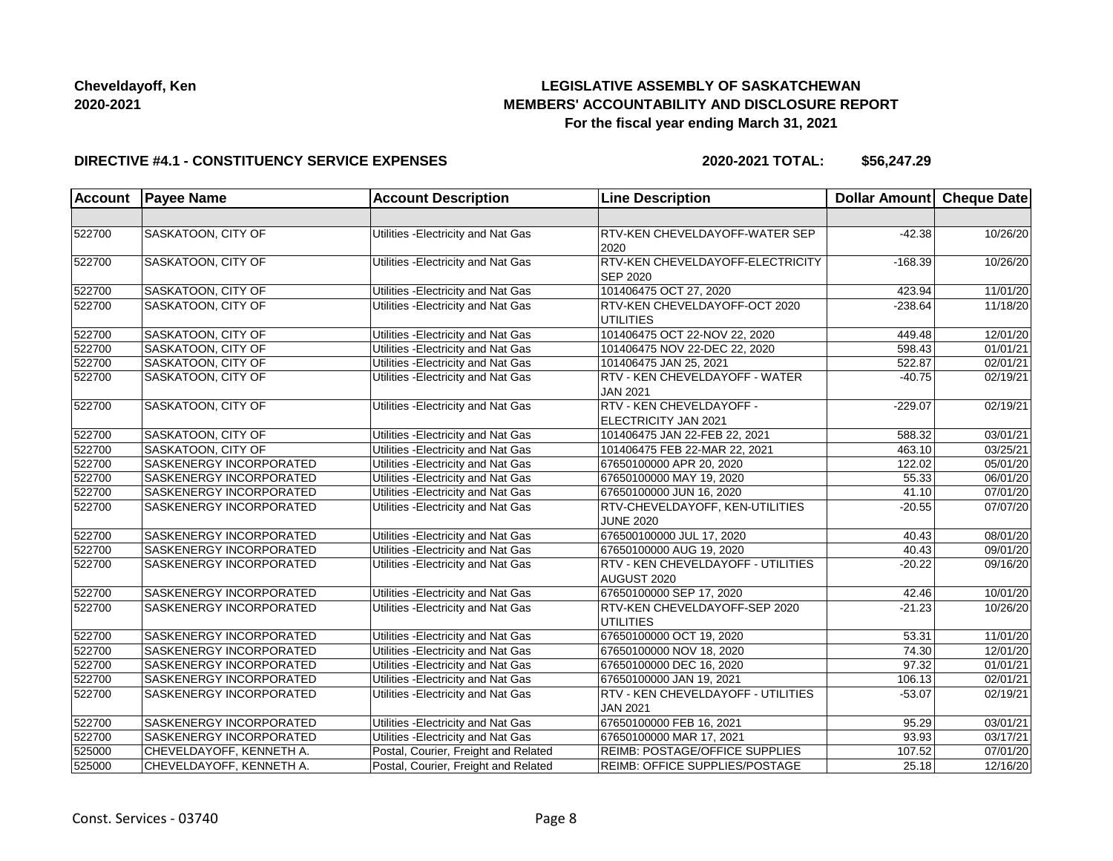# **LEGISLATIVE ASSEMBLY OF SASKATCHEWAN MEMBERS' ACCOUNTABILITY AND DISCLOSURE REPORT For the fiscal year ending March 31, 2021**

#### **DIRECTIVE #4.1 - CONSTITUENCY SERVICE EXPENSES**

| <b>Account</b> | <b>Payee Name</b>         | <b>Account Description</b>           | <b>Line Description</b>               | Dollar Amount Cheque Date |          |
|----------------|---------------------------|--------------------------------------|---------------------------------------|---------------------------|----------|
|                |                           |                                      |                                       |                           |          |
| 522700         | SASKATOON, CITY OF        | Utilities - Electricity and Nat Gas  | <b>RTV-KEN CHEVELDAYOFF-WATER SEP</b> | $-42.38$                  | 10/26/20 |
|                |                           |                                      | 2020                                  |                           |          |
| 522700         | <b>SASKATOON, CITY OF</b> | Utilities - Electricity and Nat Gas  | RTV-KEN CHEVELDAYOFF-ELECTRICITY      | $-168.39$                 | 10/26/20 |
|                |                           |                                      | <b>SEP 2020</b>                       |                           |          |
| 522700         | SASKATOON, CITY OF        | Utilities - Electricity and Nat Gas  | 101406475 OCT 27, 2020                | 423.94                    | 11/01/20 |
| 522700         | SASKATOON, CITY OF        | Utilities - Electricity and Nat Gas  | RTV-KEN CHEVELDAYOFF-OCT 2020         | $-238.64$                 | 11/18/20 |
|                |                           |                                      | UTILITIES                             |                           |          |
| 522700         | SASKATOON, CITY OF        | Utilities - Electricity and Nat Gas  | 101406475 OCT 22-NOV 22, 2020         | 449.48                    | 12/01/20 |
| 522700         | SASKATOON, CITY OF        | Utilities - Electricity and Nat Gas  | 101406475 NOV 22-DEC 22, 2020         | 598.43                    | 01/01/21 |
| 522700         | SASKATOON, CITY OF        | Utilities - Electricity and Nat Gas  | 101406475 JAN 25, 2021                | 522.87                    | 02/01/21 |
| 522700         | SASKATOON, CITY OF        | Utilities - Electricity and Nat Gas  | RTV - KEN CHEVELDAYOFF - WATER        | $-40.75$                  | 02/19/21 |
|                |                           |                                      | <b>JAN 2021</b>                       |                           |          |
| 522700         | SASKATOON, CITY OF        | Utilities - Electricity and Nat Gas  | RTV - KEN CHEVELDAYOFF -              | $-229.07$                 | 02/19/21 |
|                |                           |                                      | ELECTRICITY JAN 2021                  |                           |          |
| 522700         | SASKATOON, CITY OF        | Utilities - Electricity and Nat Gas  | 101406475 JAN 22-FEB 22, 2021         | 588.32                    | 03/01/21 |
| 522700         | SASKATOON, CITY OF        | Utilities - Electricity and Nat Gas  | 101406475 FEB 22-MAR 22, 2021         | 463.10                    | 03/25/21 |
| 522700         | SASKENERGY INCORPORATED   | Utilities - Electricity and Nat Gas  | 67650100000 APR 20, 2020              | 122.02                    | 05/01/20 |
| 522700         | SASKENERGY INCORPORATED   | Utilities - Electricity and Nat Gas  | 67650100000 MAY 19, 2020              | 55.33                     | 06/01/20 |
| 522700         | SASKENERGY INCORPORATED   | Utilities - Electricity and Nat Gas  | 67650100000 JUN 16, 2020              | 41.10                     | 07/01/20 |
| 522700         | SASKENERGY INCORPORATED   | Utilities - Electricity and Nat Gas  | RTV-CHEVELDAYOFF, KEN-UTILITIES       | $-20.55$                  | 07/07/20 |
|                |                           |                                      | <b>JUNE 2020</b>                      |                           |          |
| 522700         | SASKENERGY INCORPORATED   | Utilities - Electricity and Nat Gas  | 676500100000 JUL 17, 2020             | 40.43                     | 08/01/20 |
| 522700         | SASKENERGY INCORPORATED   | Utilities - Electricity and Nat Gas  | 67650100000 AUG 19, 2020              | 40.43                     | 09/01/20 |
| 522700         | SASKENERGY INCORPORATED   | Utilities - Electricity and Nat Gas  | RTV - KEN CHEVELDAYOFF - UTILITIES    | $-20.22$                  | 09/16/20 |
|                |                           |                                      | AUGUST 2020                           |                           |          |
| 522700         | SASKENERGY INCORPORATED   | Utilities - Electricity and Nat Gas  | 67650100000 SEP 17, 2020              | 42.46                     | 10/01/20 |
| 522700         | SASKENERGY INCORPORATED   | Utilities - Electricity and Nat Gas  | RTV-KEN CHEVELDAYOFF-SEP 2020         | $-21.23$                  | 10/26/20 |
|                |                           |                                      | UTILITIES                             |                           |          |
| 522700         | SASKENERGY INCORPORATED   | Utilities - Electricity and Nat Gas  | 67650100000 OCT 19, 2020              | 53.31                     | 11/01/20 |
| 522700         | SASKENERGY INCORPORATED   | Utilities - Electricity and Nat Gas  | 67650100000 NOV 18, 2020              | 74.30                     | 12/01/20 |
| 522700         | SASKENERGY INCORPORATED   | Utilities - Electricity and Nat Gas  | 67650100000 DEC 16, 2020              | 97.32                     | 01/01/21 |
| 522700         | SASKENERGY INCORPORATED   | Utilities - Electricity and Nat Gas  | 67650100000 JAN 19, 2021              | 106.13                    | 02/01/21 |
| 522700         | SASKENERGY INCORPORATED   | Utilities - Electricity and Nat Gas  | RTV - KEN CHEVELDAYOFF - UTILITIES    | $-53.07$                  | 02/19/21 |
|                |                           |                                      | <b>JAN 2021</b>                       |                           |          |
| 522700         | SASKENERGY INCORPORATED   | Utilities - Electricity and Nat Gas  | 67650100000 FEB 16, 2021              | 95.29                     | 03/01/21 |
| 522700         | SASKENERGY INCORPORATED   | Utilities - Electricity and Nat Gas  | 67650100000 MAR 17, 2021              | 93.93                     | 03/17/21 |
| 525000         | CHEVELDAYOFF, KENNETH A.  | Postal, Courier, Freight and Related | <b>REIMB: POSTAGE/OFFICE SUPPLIES</b> | 107.52                    | 07/01/20 |
| 525000         | CHEVELDAYOFF, KENNETH A.  | Postal, Courier, Freight and Related | <b>REIMB: OFFICE SUPPLIES/POSTAGE</b> | 25.18                     | 12/16/20 |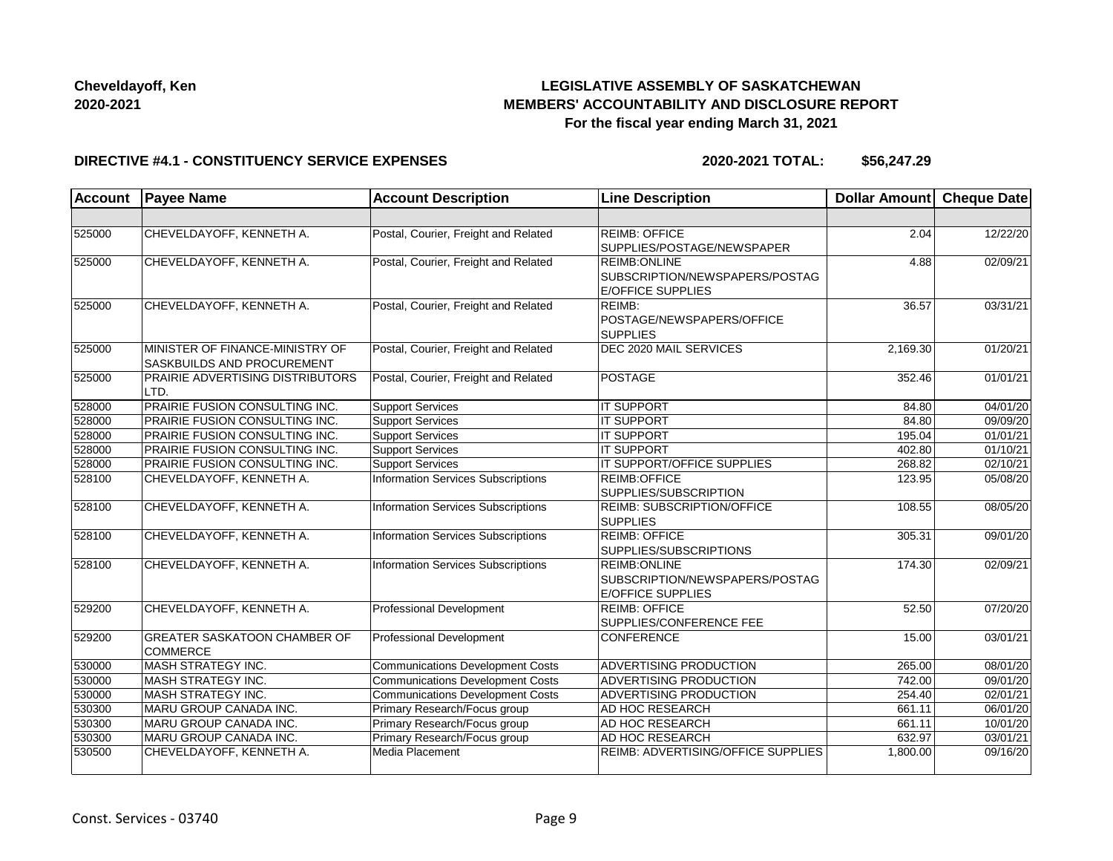# **LEGISLATIVE ASSEMBLY OF SASKATCHEWAN MEMBERS' ACCOUNTABILITY AND DISCLOSURE REPORT For the fiscal year ending March 31, 2021**

#### **DIRECTIVE #4.1 - CONSTITUENCY SERVICE EXPENSES**

| <b>Account</b> | <b>Payee Name</b>                                             | <b>Account Description</b>                | <b>Line Description</b>                                                           | <b>Dollar Amount</b> | <b>Cheque Date</b>    |
|----------------|---------------------------------------------------------------|-------------------------------------------|-----------------------------------------------------------------------------------|----------------------|-----------------------|
|                |                                                               |                                           |                                                                                   |                      |                       |
| 525000         | CHEVELDAYOFF, KENNETH A.                                      | Postal, Courier, Freight and Related      | REIMB: OFFICE<br>SUPPLIES/POSTAGE/NEWSPAPER                                       | 2.04                 | 12/22/20              |
| 525000         | CHEVELDAYOFF, KENNETH A.                                      | Postal, Courier, Freight and Related      | <b>REIMB:ONLINE</b><br>SUBSCRIPTION/NEWSPAPERS/POSTAG<br><b>E/OFFICE SUPPLIES</b> | 4.88                 | 02/09/21              |
| 525000         | CHEVELDAYOFF, KENNETH A.                                      | Postal, Courier, Freight and Related      | REIMB:<br>POSTAGE/NEWSPAPERS/OFFICE<br><b>SUPPLIES</b>                            | 36.57                | 03/31/21              |
| 525000         | MINISTER OF FINANCE-MINISTRY OF<br>SASKBUILDS AND PROCUREMENT | Postal, Courier, Freight and Related      | DEC 2020 MAIL SERVICES                                                            | 2.169.30             | 01/20/21              |
| 525000         | <b>PRAIRIE ADVERTISING DISTRIBUTORS</b><br>LTD.               | Postal, Courier, Freight and Related      | POSTAGE                                                                           | 352.46               | 01/01/21              |
| 528000         | PRAIRIE FUSION CONSULTING INC.                                | <b>Support Services</b>                   | <b>IT SUPPORT</b>                                                                 | 84.80                | 04/01/20              |
| 528000         | PRAIRIE FUSION CONSULTING INC.                                | <b>Support Services</b>                   | <b>IT SUPPORT</b>                                                                 | 84.80                | 09/09/20              |
| 528000         | PRAIRIE FUSION CONSULTING INC.                                | <b>Support Services</b>                   | <b>IT SUPPORT</b>                                                                 | 195.04               | $\overline{01/01/21}$ |
| 528000         | PRAIRIE FUSION CONSULTING INC.                                | Support Services                          | <b>IT SUPPORT</b>                                                                 | 402.80               | 01/10/21              |
| 528000         | PRAIRIE FUSION CONSULTING INC.                                | Support Services                          | IT SUPPORT/OFFICE SUPPLIES                                                        | 268.82               | 02/10/21              |
| 528100         | CHEVELDAYOFF, KENNETH A.                                      | <b>Information Services Subscriptions</b> | REIMB:OFFICE<br>SUPPLIES/SUBSCRIPTION                                             | 123.95               | 05/08/20              |
| 528100         | CHEVELDAYOFF, KENNETH A.                                      | <b>Information Services Subscriptions</b> | REIMB: SUBSCRIPTION/OFFICE<br><b>SUPPLIES</b>                                     | 108.55               | 08/05/20              |
| 528100         | CHEVELDAYOFF, KENNETH A.                                      | <b>Information Services Subscriptions</b> | <b>REIMB: OFFICE</b><br>SUPPLIES/SUBSCRIPTIONS                                    | 305.31               | 09/01/20              |
| 528100         | CHEVELDAYOFF, KENNETH A.                                      | <b>Information Services Subscriptions</b> | <b>REIMB:ONLINE</b><br>SUBSCRIPTION/NEWSPAPERS/POSTAG<br><b>E/OFFICE SUPPLIES</b> | 174.30               | 02/09/21              |
| 529200         | CHEVELDAYOFF, KENNETH A.                                      | <b>Professional Development</b>           | <b>REIMB: OFFICE</b><br>SUPPLIES/CONFERENCE FEE                                   | 52.50                | 07/20/20              |
| 529200         | <b>GREATER SASKATOON CHAMBER OF</b><br><b>COMMERCE</b>        | Professional Development                  | <b>CONFERENCE</b>                                                                 | 15.00                | 03/01/21              |
| 530000         | MASH STRATEGY INC.                                            | <b>Communications Development Costs</b>   | ADVERTISING PRODUCTION                                                            | 265.00               | 08/01/20              |
| 530000         | MASH STRATEGY INC.                                            | <b>Communications Development Costs</b>   | <b>ADVERTISING PRODUCTION</b>                                                     | 742.00               | 09/01/20              |
| 530000         | MASH STRATEGY INC.                                            | <b>Communications Development Costs</b>   | <b>ADVERTISING PRODUCTION</b>                                                     | 254.40               | 02/01/21              |
| 530300         | MARU GROUP CANADA INC.                                        | Primary Research/Focus group              | AD HOC RESEARCH                                                                   | 661.11               | 06/01/20              |
| 530300         | MARU GROUP CANADA INC.                                        | Primary Research/Focus group              | AD HOC RESEARCH                                                                   | 661.11               | 10/01/20              |
| 530300         | MARU GROUP CANADA INC.                                        | Primary Research/Focus group              | AD HOC RESEARCH                                                                   | 632.97               | 03/01/21              |
| 530500         | CHEVELDAYOFF, KENNETH A.                                      | Media Placement                           | REIMB: ADVERTISING/OFFICE SUPPLIES                                                | 1,800.00             | 09/16/20              |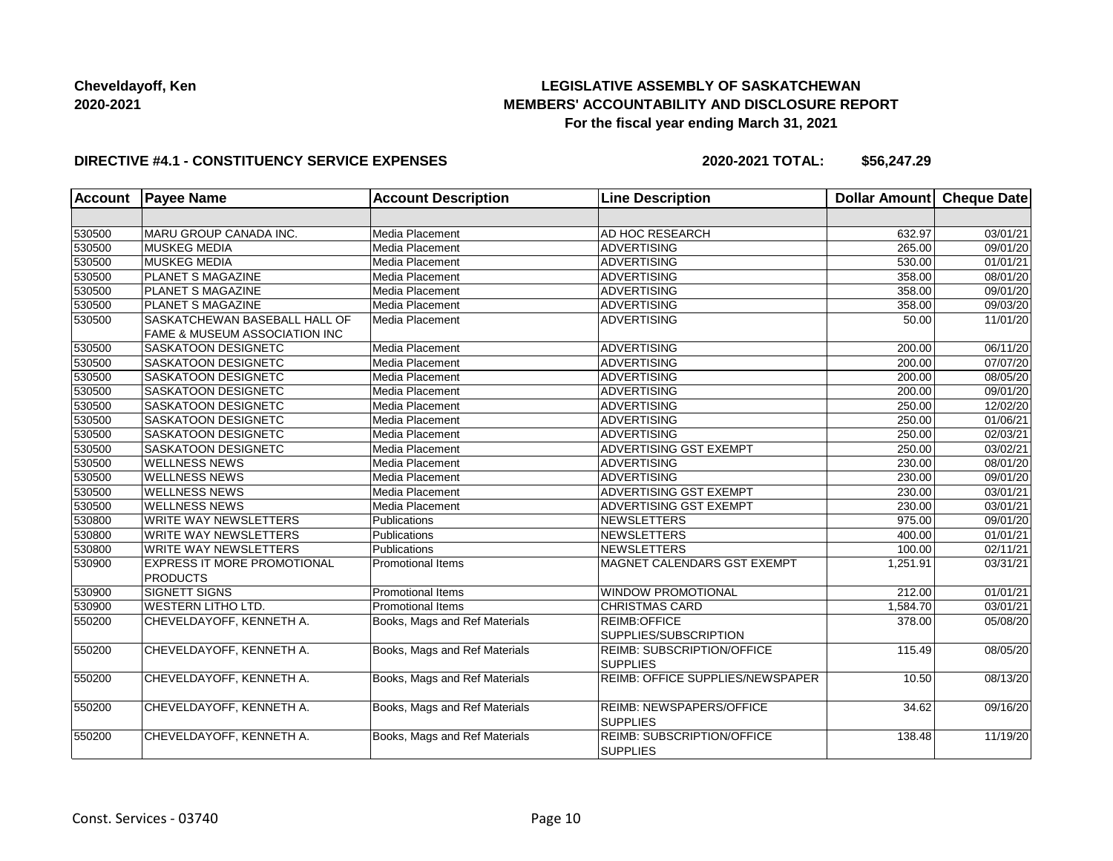# **LEGISLATIVE ASSEMBLY OF SASKATCHEWAN MEMBERS' ACCOUNTABILITY AND DISCLOSURE REPORT For the fiscal year ending March 31, 2021**

#### **DIRECTIVE #4.1 - CONSTITUENCY SERVICE EXPENSES**

| <b>Account</b> | <b>Payee Name</b>                                                         | <b>Account Description</b>    | <b>Line Description</b>                              | <b>Dollar Amount</b> | Cheque Date           |
|----------------|---------------------------------------------------------------------------|-------------------------------|------------------------------------------------------|----------------------|-----------------------|
|                |                                                                           |                               |                                                      |                      |                       |
| 530500         | MARU GROUP CANADA INC.                                                    | Media Placement               | AD HOC RESEARCH                                      | 632.97               | 03/01/21              |
| 530500         | <b>MUSKEG MEDIA</b>                                                       | Media Placement               | <b>ADVERTISING</b>                                   | 265.00               | 09/01/20              |
| 530500         | <b>MUSKEG MEDIA</b>                                                       | Media Placement               | ADVERTISING                                          | 530.00               | 01/01/21              |
| 530500         | PLANET S MAGAZINE                                                         | Media Placement               | <b>ADVERTISING</b>                                   | 358.00               | 08/01/20              |
| 530500         | <b>PLANET S MAGAZINE</b>                                                  | Media Placement               | ADVERTISING                                          | 358.00               | 09/01/20              |
| 530500         | <b>PLANET S MAGAZINE</b>                                                  | Media Placement               | ADVERTISING                                          | 358.00               | 09/03/20              |
| 530500         | SASKATCHEWAN BASEBALL HALL OF<br><b>FAME &amp; MUSEUM ASSOCIATION INC</b> | Media Placement               | ADVERTISING                                          | 50.00                | 11/01/20              |
| 530500         | SASKATOON DESIGNETC                                                       | Media Placement               | <b>ADVERTISING</b>                                   | 200.00               | 06/11/20              |
| 530500         | SASKATOON DESIGNETC                                                       | Media Placement               | <b>ADVERTISING</b>                                   | 200.00               | 07/07/20              |
| 530500         | SASKATOON DESIGNETC                                                       | Media Placement               | <b>ADVERTISING</b>                                   | 200.00               | 08/05/20              |
| 530500         | SASKATOON DESIGNETC                                                       | Media Placement               | <b>ADVERTISING</b>                                   | 200.00               | 09/01/20              |
| 530500         | SASKATOON DESIGNETC                                                       | Media Placement               | ADVERTISING                                          | 250.00               | 12/02/20              |
| 530500         | SASKATOON DESIGNETC                                                       | Media Placement               | ADVERTISING                                          | 250.00               | 01/06/21              |
| 530500         | SASKATOON DESIGNETC                                                       | Media Placement               | ADVERTISING                                          | 250.00               | 02/03/21              |
| 530500         | SASKATOON DESIGNETC                                                       | Media Placement               | ADVERTISING GST EXEMPT                               | 250.00               | 03/02/21              |
| 530500         | <b>WELLNESS NEWS</b>                                                      | Media Placement               | <b>ADVERTISING</b>                                   | 230.00               | 08/01/20              |
| 530500         | <b>WELLNESS NEWS</b>                                                      | Media Placement               | <b>ADVERTISING</b>                                   | 230.00               | 09/01/20              |
| 530500         | <b>WELLNESS NEWS</b>                                                      | Media Placement               | <b>ADVERTISING GST EXEMPT</b>                        | 230.00               | 03/01/21              |
| 530500         | <b>WELLNESS NEWS</b>                                                      | Media Placement               | <b>ADVERTISING GST EXEMPT</b>                        | 230.00               | 03/01/21              |
| 530800         | <b>WRITE WAY NEWSLETTERS</b>                                              | Publications                  | NEWSLETTERS                                          | 975.00               | 09/01/20              |
| 530800         | <b>WRITE WAY NEWSLETTERS</b>                                              | Publications                  | NEWSLETTERS                                          | 400.00               | 01/01/21              |
| 530800         | <b>WRITE WAY NEWSLETTERS</b>                                              | Publications                  | NEWSLETTERS                                          | 100.00               | $\overline{02/11/21}$ |
| 530900         | EXPRESS IT MORE PROMOTIONAL<br><b>PRODUCTS</b>                            | <b>Promotional Items</b>      | MAGNET CALENDARS GST EXEMPT                          | 1,251.91             | 03/31/21              |
| 530900         | SIGNETT SIGNS                                                             | <b>Promotional Items</b>      | <b>WINDOW PROMOTIONAL</b>                            | 212.00               | 01/01/21              |
| 530900         | <b>WESTERN LITHO LTD.</b>                                                 | <b>Promotional Items</b>      | <b>CHRISTMAS CARD</b>                                | 1,584.70             | 03/01/21              |
| 550200         | CHEVELDAYOFF, KENNETH A.                                                  | Books, Mags and Ref Materials | <b>REIMB:OFFICE</b><br>SUPPLIES/SUBSCRIPTION         | 378.00               | 05/08/20              |
| 550200         | CHEVELDAYOFF, KENNETH A.                                                  | Books, Mags and Ref Materials | <b>REIMB: SUBSCRIPTION/OFFICE</b><br><b>SUPPLIES</b> | 115.49               | 08/05/20              |
| 550200         | CHEVELDAYOFF, KENNETH A.                                                  | Books, Mags and Ref Materials | <b>REIMB: OFFICE SUPPLIES/NEWSPAPER</b>              | 10.50                | 08/13/20              |
| 550200         | CHEVELDAYOFF, KENNETH A.                                                  | Books, Mags and Ref Materials | <b>REIMB: NEWSPAPERS/OFFICE</b><br><b>SUPPLIES</b>   | 34.62                | 09/16/20              |
| 550200         | CHEVELDAYOFF, KENNETH A.                                                  | Books, Mags and Ref Materials | <b>REIMB: SUBSCRIPTION/OFFICE</b><br><b>SUPPLIES</b> | 138.48               | 11/19/20              |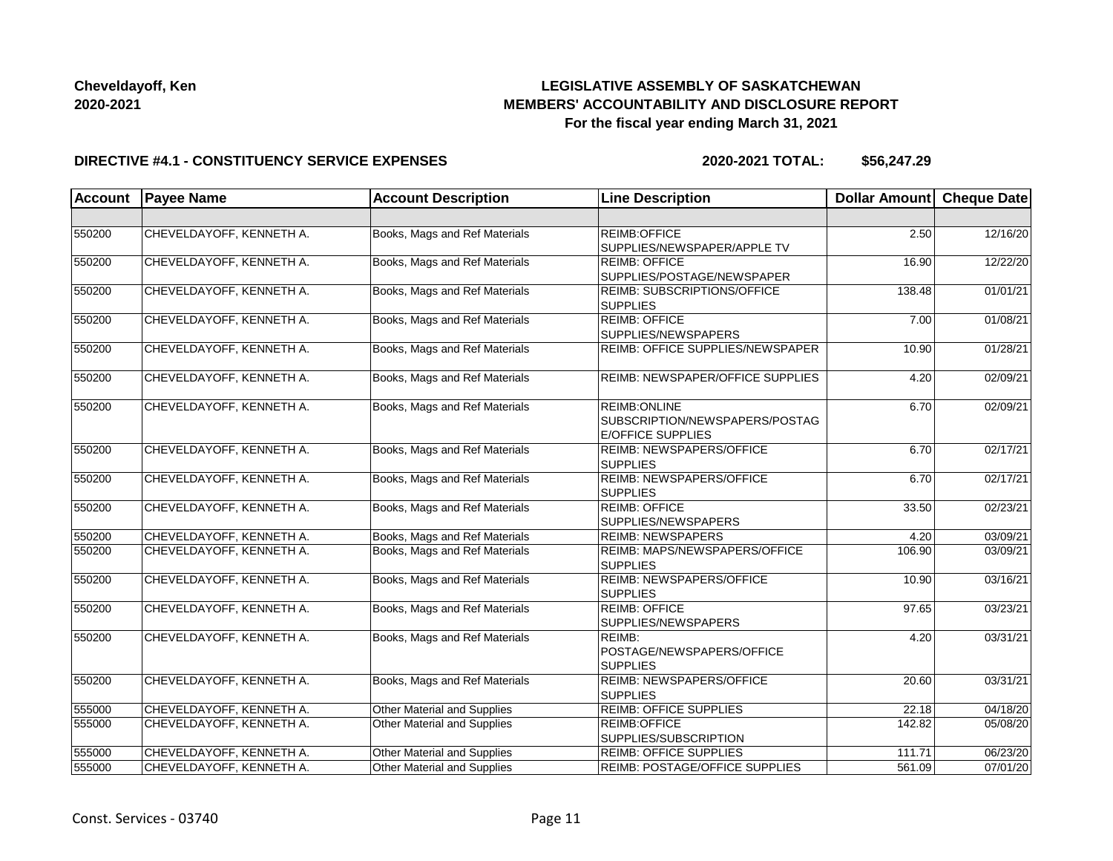# **LEGISLATIVE ASSEMBLY OF SASKATCHEWAN MEMBERS' ACCOUNTABILITY AND DISCLOSURE REPORT For the fiscal year ending March 31, 2021**

#### **DIRECTIVE #4.1 - CONSTITUENCY SERVICE EXPENSES**

| <b>Account</b> | <b>Payee Name</b>        | <b>Account Description</b>    | <b>Line Description</b>                                                     | <b>Dollar Amount</b> | <b>Cheque Date</b> |
|----------------|--------------------------|-------------------------------|-----------------------------------------------------------------------------|----------------------|--------------------|
|                |                          |                               |                                                                             |                      |                    |
| 550200         | CHEVELDAYOFF, KENNETH A. | Books, Mags and Ref Materials | REIMB:OFFICE<br>SUPPLIES/NEWSPAPER/APPLE TV                                 | 2.50                 | 12/16/20           |
| 550200         | CHEVELDAYOFF, KENNETH A. | Books, Mags and Ref Materials | <b>REIMB: OFFICE</b><br>SUPPLIES/POSTAGE/NEWSPAPER                          | 16.90                | 12/22/20           |
| 550200         | CHEVELDAYOFF, KENNETH A. | Books, Mags and Ref Materials | <b>REIMB: SUBSCRIPTIONS/OFFICE</b><br><b>SUPPLIES</b>                       | 138.48               | 01/01/21           |
| 550200         | CHEVELDAYOFF, KENNETH A. | Books, Mags and Ref Materials | <b>REIMB: OFFICE</b><br>SUPPLIES/NEWSPAPERS                                 | 7.00                 | 01/08/21           |
| 550200         | CHEVELDAYOFF, KENNETH A. | Books, Mags and Ref Materials | REIMB: OFFICE SUPPLIES/NEWSPAPER                                            | 10.90                | 01/28/21           |
| 550200         | CHEVELDAYOFF, KENNETH A. | Books, Mags and Ref Materials | REIMB: NEWSPAPER/OFFICE SUPPLIES                                            | 4.20                 | 02/09/21           |
| 550200         | CHEVELDAYOFF, KENNETH A. | Books, Mags and Ref Materials | REIMB: ONLINE<br>SUBSCRIPTION/NEWSPAPERS/POSTAG<br><b>E/OFFICE SUPPLIES</b> | 6.70                 | 02/09/21           |
| 550200         | CHEVELDAYOFF, KENNETH A. | Books, Mags and Ref Materials | <b>REIMB: NEWSPAPERS/OFFICE</b><br><b>SUPPLIES</b>                          | 6.70                 | 02/17/21           |
| 550200         | CHEVELDAYOFF, KENNETH A. | Books, Mags and Ref Materials | <b>REIMB: NEWSPAPERS/OFFICE</b><br><b>SUPPLIES</b>                          | 6.70                 | 02/17/21           |
| 550200         | CHEVELDAYOFF, KENNETH A. | Books, Mags and Ref Materials | <b>REIMB: OFFICE</b><br>SUPPLIES/NEWSPAPERS                                 | 33.50                | 02/23/21           |
| 550200         | CHEVELDAYOFF, KENNETH A. | Books, Mags and Ref Materials | <b>REIMB: NEWSPAPERS</b>                                                    | 4.20                 | 03/09/21           |
| 550200         | CHEVELDAYOFF, KENNETH A. | Books, Mags and Ref Materials | <b>REIMB: MAPS/NEWSPAPERS/OFFICE</b><br><b>SUPPLIES</b>                     | 106.90               | 03/09/21           |
| 550200         | CHEVELDAYOFF, KENNETH A. | Books, Mags and Ref Materials | <b>REIMB: NEWSPAPERS/OFFICE</b><br><b>SUPPLIES</b>                          | 10.90                | 03/16/21           |
| 550200         | CHEVELDAYOFF, KENNETH A. | Books, Mags and Ref Materials | <b>REIMB: OFFICE</b><br>SUPPLIES/NEWSPAPERS                                 | 97.65                | 03/23/21           |
| 550200         | CHEVELDAYOFF, KENNETH A. | Books, Mags and Ref Materials | REIMB:<br>POSTAGE/NEWSPAPERS/OFFICE<br><b>SUPPLIES</b>                      | 4.20                 | 03/31/21           |
| 550200         | CHEVELDAYOFF, KENNETH A. | Books, Mags and Ref Materials | <b>REIMB: NEWSPAPERS/OFFICE</b><br><b>SUPPLIES</b>                          | 20.60                | 03/31/21           |
| 555000         | CHEVELDAYOFF, KENNETH A. | Other Material and Supplies   | <b>REIMB: OFFICE SUPPLIES</b>                                               | 22.18                | 04/18/20           |
| 555000         | CHEVELDAYOFF, KENNETH A. | Other Material and Supplies   | REIMB:OFFICE<br>SUPPLIES/SUBSCRIPTION                                       | 142.82               | 05/08/20           |
| 555000         | CHEVELDAYOFF, KENNETH A. | Other Material and Supplies   | <b>REIMB: OFFICE SUPPLIES</b>                                               | 111.71               | 06/23/20           |
| 555000         | CHEVELDAYOFF, KENNETH A. | Other Material and Supplies   | REIMB: POSTAGE/OFFICE SUPPLIES                                              | 561.09               | 07/01/20           |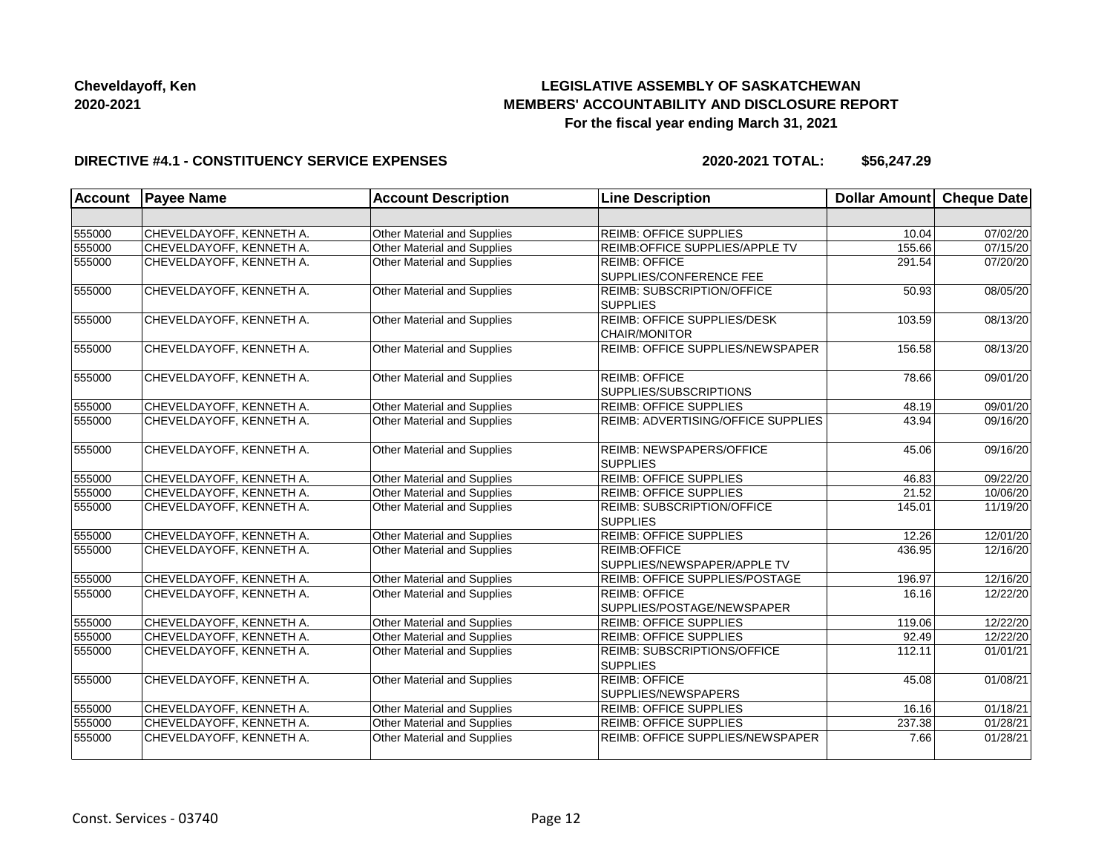# **LEGISLATIVE ASSEMBLY OF SASKATCHEWAN MEMBERS' ACCOUNTABILITY AND DISCLOSURE REPORT For the fiscal year ending March 31, 2021**

#### **DIRECTIVE #4.1 - CONSTITUENCY SERVICE EXPENSES**

| <b>Account</b> | <b>Payee Name</b>        | <b>Account Description</b>         | <b>Line Description</b>                               | Dollar Amount | <b>Cheque Date</b> |
|----------------|--------------------------|------------------------------------|-------------------------------------------------------|---------------|--------------------|
|                |                          |                                    |                                                       |               |                    |
| 555000         | CHEVELDAYOFF, KENNETH A. | <b>Other Material and Supplies</b> | <b>REIMB: OFFICE SUPPLIES</b>                         | 10.04         | 07/02/20           |
| 555000         | CHEVELDAYOFF, KENNETH A. | Other Material and Supplies        | REIMB: OFFICE SUPPLIES/APPLE TV                       | 155.66        | 07/15/20           |
| 555000         | CHEVELDAYOFF, KENNETH A. | Other Material and Supplies        | <b>REIMB: OFFICE</b><br>SUPPLIES/CONFERENCE FEE       | 291.54        | 07/20/20           |
| 555000         | CHEVELDAYOFF, KENNETH A. | Other Material and Supplies        | <b>REIMB: SUBSCRIPTION/OFFICE</b><br><b>SUPPLIES</b>  | 50.93         | 08/05/20           |
| 555000         | CHEVELDAYOFF, KENNETH A. | Other Material and Supplies        | REIMB: OFFICE SUPPLIES/DESK<br><b>CHAIR/MONITOR</b>   | 103.59        | 08/13/20           |
| 555000         | CHEVELDAYOFF, KENNETH A. | Other Material and Supplies        | REIMB: OFFICE SUPPLIES/NEWSPAPER                      | 156.58        | 08/13/20           |
| 555000         | CHEVELDAYOFF, KENNETH A. | Other Material and Supplies        | <b>REIMB: OFFICE</b><br>SUPPLIES/SUBSCRIPTIONS        | 78.66         | 09/01/20           |
| 555000         | CHEVELDAYOFF, KENNETH A. | Other Material and Supplies        | <b>REIMB: OFFICE SUPPLIES</b>                         | 48.19         | 09/01/20           |
| 555000         | CHEVELDAYOFF, KENNETH A. | Other Material and Supplies        | REIMB: ADVERTISING/OFFICE SUPPLIES                    | 43.94         | 09/16/20           |
| 555000         | CHEVELDAYOFF, KENNETH A. | Other Material and Supplies        | REIMB: NEWSPAPERS/OFFICE<br><b>SUPPLIES</b>           | 45.06         | 09/16/20           |
| 555000         | CHEVELDAYOFF, KENNETH A. | Other Material and Supplies        | REIMB: OFFICE SUPPLIES                                | 46.83         | 09/22/20           |
| 555000         | CHEVELDAYOFF, KENNETH A. | Other Material and Supplies        | <b>REIMB: OFFICE SUPPLIES</b>                         | 21.52         | 10/06/20           |
| 555000         | CHEVELDAYOFF, KENNETH A. | Other Material and Supplies        | <b>REIMB: SUBSCRIPTION/OFFICE</b><br><b>SUPPLIES</b>  | 145.01        | 11/19/20           |
| 555000         | CHEVELDAYOFF, KENNETH A. | Other Material and Supplies        | <b>REIMB: OFFICE SUPPLIES</b>                         | 12.26         | 12/01/20           |
| 555000         | CHEVELDAYOFF, KENNETH A. | Other Material and Supplies        | REIMB:OFFICE<br>SUPPLIES/NEWSPAPER/APPLE TV           | 436.95        | 12/16/20           |
| 555000         | CHEVELDAYOFF, KENNETH A. | Other Material and Supplies        | REIMB: OFFICE SUPPLIES/POSTAGE                        | 196.97        | 12/16/20           |
| 555000         | CHEVELDAYOFF, KENNETH A. | Other Material and Supplies        | <b>REIMB: OFFICE</b><br>SUPPLIES/POSTAGE/NEWSPAPER    | 16.16         | 12/22/20           |
| 555000         | CHEVELDAYOFF, KENNETH A. | Other Material and Supplies        | <b>REIMB: OFFICE SUPPLIES</b>                         | 119.06        | 12/22/20           |
| 555000         | CHEVELDAYOFF, KENNETH A. | Other Material and Supplies        | <b>REIMB: OFFICE SUPPLIES</b>                         | 92.49         | 12/22/20           |
| 555000         | CHEVELDAYOFF, KENNETH A. | Other Material and Supplies        | <b>REIMB: SUBSCRIPTIONS/OFFICE</b><br><b>SUPPLIES</b> | 112.11        | 01/01/21           |
| 555000         | CHEVELDAYOFF, KENNETH A. | Other Material and Supplies        | <b>REIMB: OFFICE</b><br>SUPPLIES/NEWSPAPERS           | 45.08         | 01/08/21           |
| 555000         | CHEVELDAYOFF, KENNETH A. | Other Material and Supplies        | <b>REIMB: OFFICE SUPPLIES</b>                         | 16.16         | 01/18/21           |
| 555000         | CHEVELDAYOFF, KENNETH A. | Other Material and Supplies        | <b>REIMB: OFFICE SUPPLIES</b>                         | 237.38        | 01/28/21           |
| 555000         | CHEVELDAYOFF, KENNETH A. | Other Material and Supplies        | REIMB: OFFICE SUPPLIES/NEWSPAPER                      | 7.66          | 01/28/21           |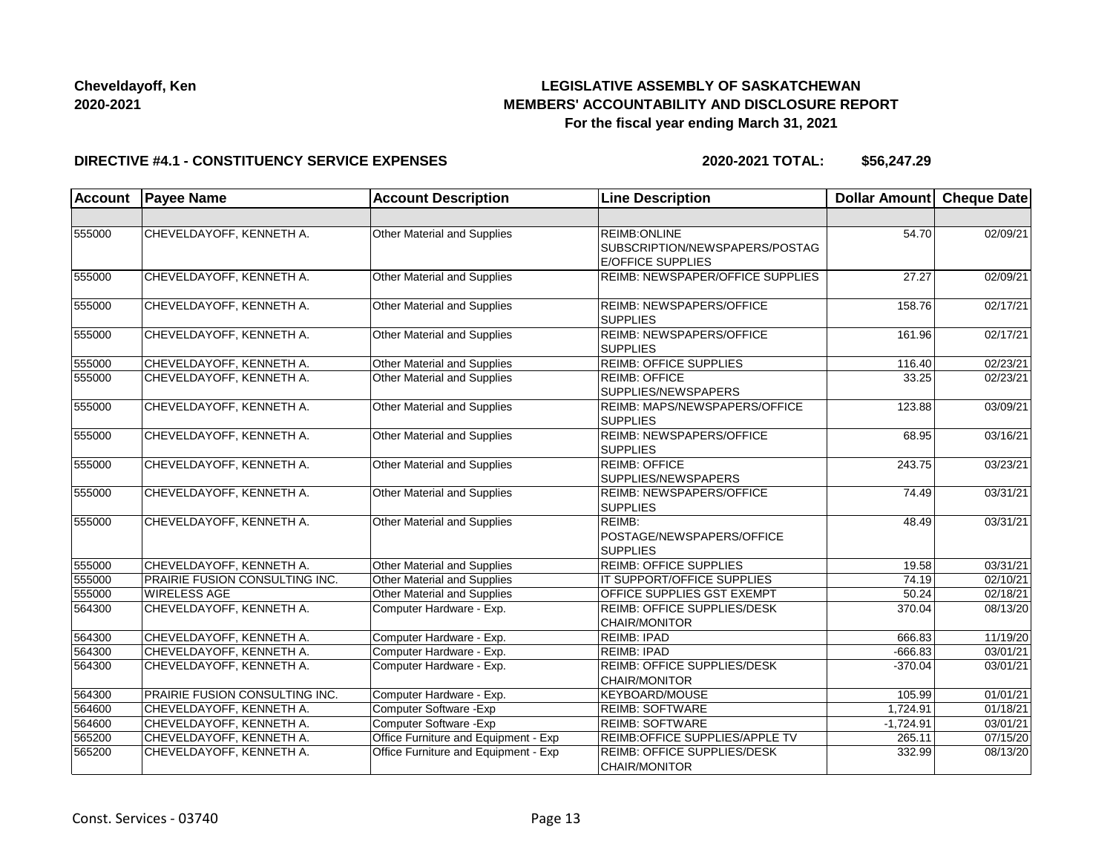# **LEGISLATIVE ASSEMBLY OF SASKATCHEWAN MEMBERS' ACCOUNTABILITY AND DISCLOSURE REPORT For the fiscal year ending March 31, 2021**

#### **DIRECTIVE #4.1 - CONSTITUENCY SERVICE EXPENSES**

| <b>Account</b> | <b>Payee Name</b>              | <b>Account Description</b>           | <b>Line Description</b>                                                     | <b>Dollar Amount</b> | <b>Cheque Date</b> |
|----------------|--------------------------------|--------------------------------------|-----------------------------------------------------------------------------|----------------------|--------------------|
|                |                                |                                      |                                                                             |                      |                    |
| 555000         | CHEVELDAYOFF, KENNETH A.       | Other Material and Supplies          | REIMB: ONLINE<br>SUBSCRIPTION/NEWSPAPERS/POSTAG<br><b>E/OFFICE SUPPLIES</b> | 54.70                | 02/09/21           |
| 555000         | CHEVELDAYOFF, KENNETH A.       | Other Material and Supplies          | REIMB: NEWSPAPER/OFFICE SUPPLIES                                            | 27.27                | 02/09/21           |
| 555000         | CHEVELDAYOFF, KENNETH A.       | Other Material and Supplies          | REIMB: NEWSPAPERS/OFFICE<br><b>SUPPLIES</b>                                 | 158.76               | 02/17/21           |
| 555000         | CHEVELDAYOFF, KENNETH A.       | Other Material and Supplies          | <b>REIMB: NEWSPAPERS/OFFICE</b><br><b>SUPPLIES</b>                          | 161.96               | 02/17/21           |
| 555000         | CHEVELDAYOFF, KENNETH A.       | Other Material and Supplies          | <b>REIMB: OFFICE SUPPLIES</b>                                               | 116.40               | 02/23/21           |
| 555000         | CHEVELDAYOFF, KENNETH A.       | Other Material and Supplies          | <b>REIMB: OFFICE</b><br>SUPPLIES/NEWSPAPERS                                 | 33.25                | 02/23/21           |
| 555000         | CHEVELDAYOFF, KENNETH A.       | Other Material and Supplies          | REIMB: MAPS/NEWSPAPERS/OFFICE<br><b>SUPPLIES</b>                            | 123.88               | 03/09/21           |
| 555000         | CHEVELDAYOFF, KENNETH A.       | Other Material and Supplies          | <b>REIMB: NEWSPAPERS/OFFICE</b><br><b>SUPPLIES</b>                          | 68.95                | 03/16/21           |
| 555000         | CHEVELDAYOFF, KENNETH A.       | Other Material and Supplies          | <b>REIMB: OFFICE</b><br>SUPPLIES/NEWSPAPERS                                 | 243.75               | 03/23/21           |
| 555000         | CHEVELDAYOFF, KENNETH A.       | <b>Other Material and Supplies</b>   | REIMB: NEWSPAPERS/OFFICE<br><b>SUPPLIES</b>                                 | 74.49                | 03/31/21           |
| 555000         | CHEVELDAYOFF, KENNETH A.       | Other Material and Supplies          | REIMB:<br>POSTAGE/NEWSPAPERS/OFFICE<br><b>SUPPLIES</b>                      | 48.49                | 03/31/21           |
| 555000         | CHEVELDAYOFF, KENNETH A.       | Other Material and Supplies          | <b>REIMB: OFFICE SUPPLIES</b>                                               | 19.58                | 03/31/21           |
| 555000         | PRAIRIE FUSION CONSULTING INC. | Other Material and Supplies          | IT SUPPORT/OFFICE SUPPLIES                                                  | 74.19                | 02/10/21           |
| 555000         | <b>WIRELESS AGE</b>            | Other Material and Supplies          | <b>OFFICE SUPPLIES GST EXEMPT</b>                                           | 50.24                | 02/18/21           |
| 564300         | CHEVELDAYOFF, KENNETH A.       | Computer Hardware - Exp.             | REIMB: OFFICE SUPPLIES/DESK<br><b>CHAIR/MONITOR</b>                         | 370.04               | 08/13/20           |
| 564300         | CHEVELDAYOFF, KENNETH A.       | Computer Hardware - Exp.             | <b>REIMB: IPAD</b>                                                          | 666.83               | 11/19/20           |
| 564300         | CHEVELDAYOFF, KENNETH A.       | Computer Hardware - Exp.             | <b>REIMB: IPAD</b>                                                          | $-666.83$            | 03/01/21           |
| 564300         | CHEVELDAYOFF, KENNETH A.       | Computer Hardware - Exp.             | REIMB: OFFICE SUPPLIES/DESK<br>CHAIR/MONITOR                                | $-370.04$            | 03/01/21           |
| 564300         | PRAIRIE FUSION CONSULTING INC. | Computer Hardware - Exp.             | KEYBOARD/MOUSE                                                              | 105.99               | 01/01/21           |
| 564600         | CHEVELDAYOFF, KENNETH A.       | Computer Software - Exp              | <b>REIMB: SOFTWARE</b>                                                      | 1,724.91             | 01/18/21           |
| 564600         | CHEVELDAYOFF, KENNETH A.       | Computer Software - Exp              | <b>REIMB: SOFTWARE</b>                                                      | $-1,724.91$          | 03/01/21           |
| 565200         | CHEVELDAYOFF, KENNETH A.       | Office Furniture and Equipment - Exp | REIMB:OFFICE SUPPLIES/APPLE TV                                              | 265.11               | 07/15/20           |
| 565200         | CHEVELDAYOFF, KENNETH A.       | Office Furniture and Equipment - Exp | <b>REIMB: OFFICE SUPPLIES/DESK</b><br>CHAIR/MONITOR                         | 332.99               | 08/13/20           |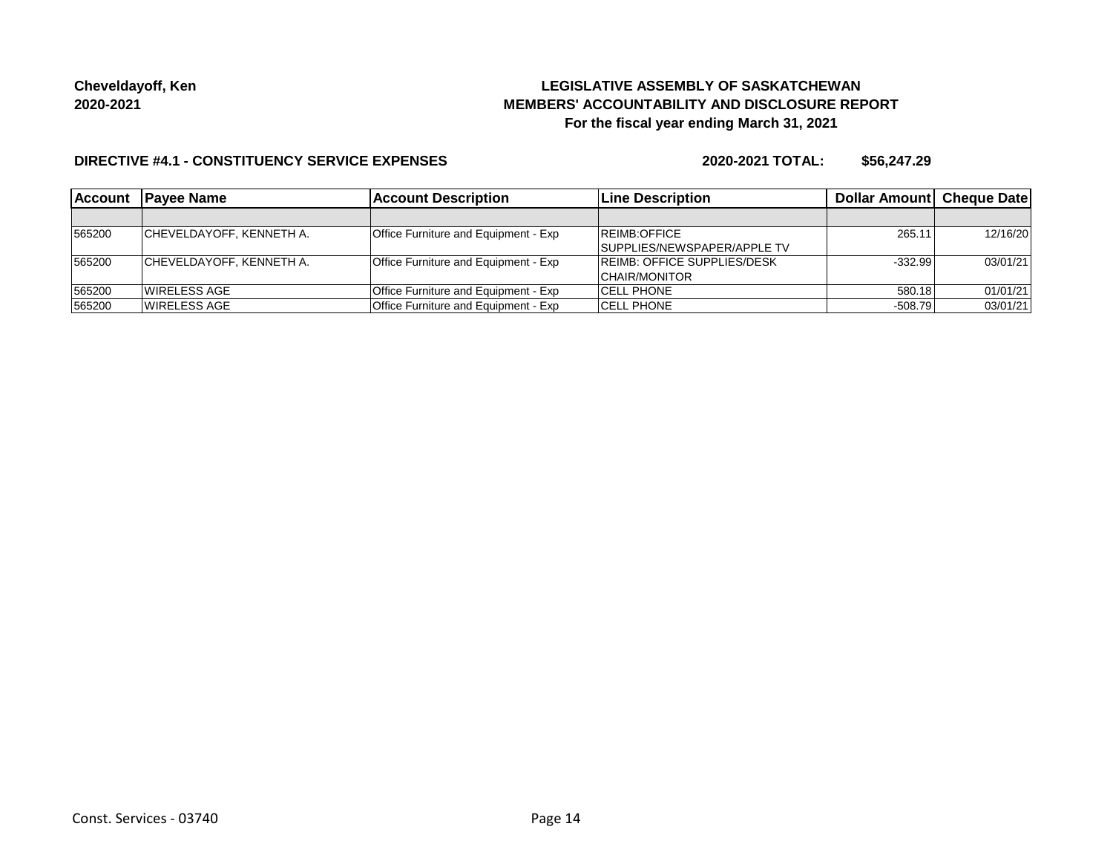# **LEGISLATIVE ASSEMBLY OF SASKATCHEWAN MEMBERS' ACCOUNTABILITY AND DISCLOSURE REPORT For the fiscal year ending March 31, 2021**

#### **DIRECTIVE #4.1 - CONSTITUENCY SERVICE EXPENSES**

| <b>Account</b> | <b>Payee Name</b>               | <b>Account Description</b>                  | <b>Line Description</b>            | Dollar Amount Cheque Date |          |
|----------------|---------------------------------|---------------------------------------------|------------------------------------|---------------------------|----------|
|                |                                 |                                             |                                    |                           |          |
| 565200         | <b>CHEVELDAYOFF, KENNETH A.</b> | <b>Office Furniture and Equipment - Exp</b> | REIMB:OFFICE                       | 265.11                    | 12/16/20 |
|                |                                 |                                             | SUPPLIES/NEWSPAPER/APPLE TV        |                           |          |
| 565200         | <b>CHEVELDAYOFF, KENNETH A.</b> | Office Furniture and Equipment - Exp        | <b>REIMB: OFFICE SUPPLIES/DESK</b> | $-332.99$                 | 03/01/21 |
|                |                                 |                                             | CHAIR/MONITOR                      |                           |          |
| 565200         | <b>WIRELESS AGE</b>             | Office Furniture and Equipment - Exp        | <b>CELL PHONE</b>                  | 580.18                    | 01/01/21 |
| 565200         | <b>WIRELESS AGE</b>             | Office Furniture and Equipment - Exp        | <b>CELL PHONE</b>                  | $-508.79$                 | 03/01/21 |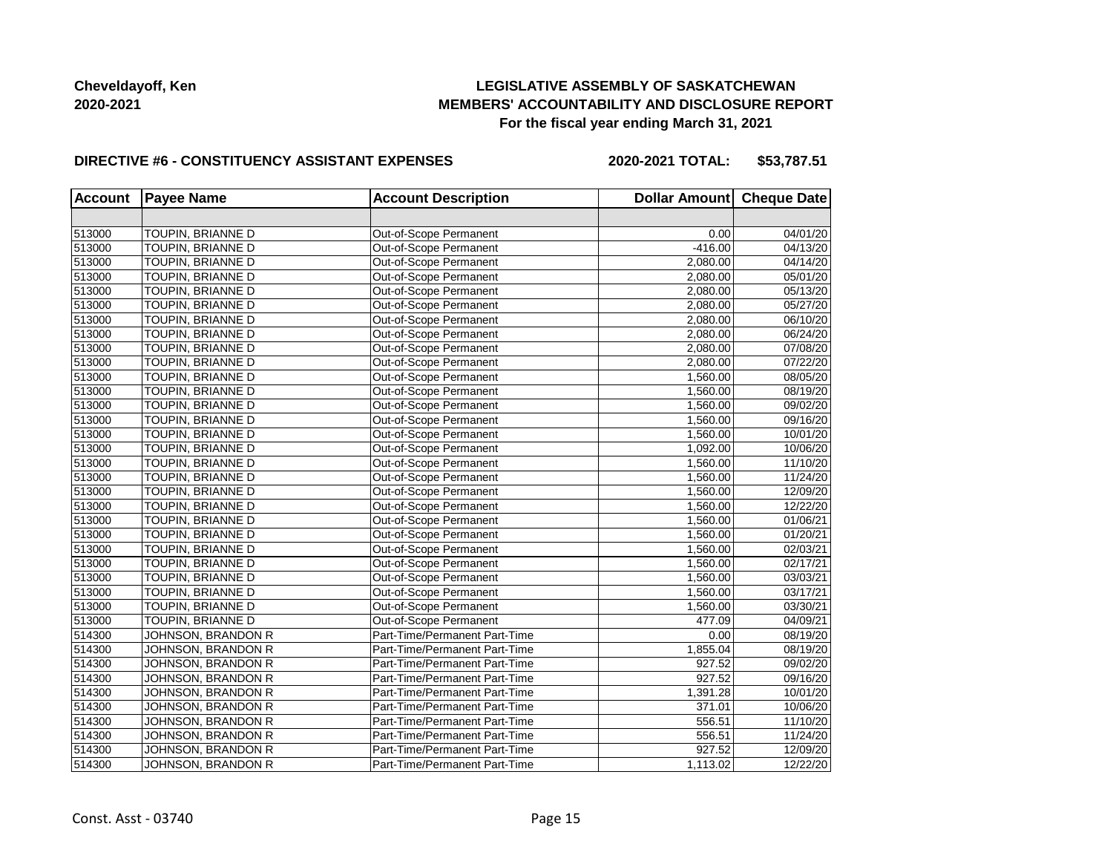# **LEGISLATIVE ASSEMBLY OF SASKATCHEWAN MEMBERS' ACCOUNTABILITY AND DISCLOSURE REPORT For the fiscal year ending March 31, 2021**

#### **DIRECTIVE #6 - CONSTITUENCY ASSISTANT EXPENSES**

**2020-2021 TOTAL: \$53,787.51**

| <b>Account</b> | <b>Payee Name</b>  | <b>Account Description</b>    | Dollar Amount Cheque Date |          |
|----------------|--------------------|-------------------------------|---------------------------|----------|
|                |                    |                               |                           |          |
| 513000         | TOUPIN, BRIANNE D  | Out-of-Scope Permanent        | 0.00                      | 04/01/20 |
| 513000         | TOUPIN, BRIANNE D  | Out-of-Scope Permanent        | $-416.00$                 | 04/13/20 |
| 513000         | TOUPIN, BRIANNE D  | Out-of-Scope Permanent        | 2,080.00                  | 04/14/20 |
| 513000         | TOUPIN, BRIANNE D  | Out-of-Scope Permanent        | 2,080.00                  | 05/01/20 |
| 513000         | TOUPIN, BRIANNE D  | Out-of-Scope Permanent        | 2,080.00                  | 05/13/20 |
| 513000         | TOUPIN, BRIANNE D  | Out-of-Scope Permanent        | 2,080.00                  | 05/27/20 |
| 513000         | TOUPIN, BRIANNE D  | Out-of-Scope Permanent        | 2,080.00                  | 06/10/20 |
| 513000         | TOUPIN, BRIANNE D  | Out-of-Scope Permanent        | 2,080.00                  | 06/24/20 |
| 513000         | TOUPIN, BRIANNE D  | Out-of-Scope Permanent        | 2,080.00                  | 07/08/20 |
| 513000         | TOUPIN, BRIANNE D  | Out-of-Scope Permanent        | 2,080.00                  | 07/22/20 |
| 513000         | TOUPIN, BRIANNE D  | Out-of-Scope Permanent        | 1,560.00                  | 08/05/20 |
| 513000         | TOUPIN, BRIANNE D  | Out-of-Scope Permanent        | 1,560.00                  | 08/19/20 |
| 513000         | TOUPIN, BRIANNE D  | Out-of-Scope Permanent        | 1,560.00                  | 09/02/20 |
| 513000         | TOUPIN, BRIANNE D  | Out-of-Scope Permanent        | 1,560.00                  | 09/16/20 |
| 513000         | TOUPIN, BRIANNE D  | Out-of-Scope Permanent        | 1,560.00                  | 10/01/20 |
| 513000         | TOUPIN, BRIANNE D  | Out-of-Scope Permanent        | 1,092.00                  | 10/06/20 |
| 513000         | TOUPIN, BRIANNE D  | Out-of-Scope Permanent        | 1,560.00                  | 11/10/20 |
| 513000         | TOUPIN, BRIANNE D  | Out-of-Scope Permanent        | 1,560.00                  | 11/24/20 |
| 513000         | TOUPIN, BRIANNE D  | Out-of-Scope Permanent        | 1,560.00                  | 12/09/20 |
| 513000         | TOUPIN, BRIANNE D  | Out-of-Scope Permanent        | 1,560.00                  | 12/22/20 |
| 513000         | TOUPIN, BRIANNE D  | Out-of-Scope Permanent        | 1,560.00                  | 01/06/21 |
| 513000         | TOUPIN, BRIANNE D  | Out-of-Scope Permanent        | 1,560.00                  | 01/20/21 |
| 513000         | TOUPIN, BRIANNE D  | Out-of-Scope Permanent        | 1,560.00                  | 02/03/21 |
| 513000         | TOUPIN, BRIANNE D  | Out-of-Scope Permanent        | 1,560.00                  | 02/17/21 |
| 513000         | TOUPIN, BRIANNE D  | Out-of-Scope Permanent        | 1,560.00                  | 03/03/21 |
| 513000         | TOUPIN, BRIANNE D  | Out-of-Scope Permanent        | 1,560.00                  | 03/17/21 |
| 513000         | TOUPIN, BRIANNE D  | Out-of-Scope Permanent        | 1,560.00                  | 03/30/21 |
| 513000         | TOUPIN, BRIANNE D  | Out-of-Scope Permanent        | 477.09                    | 04/09/21 |
| 514300         | JOHNSON, BRANDON R | Part-Time/Permanent Part-Time | 0.00                      | 08/19/20 |
| 514300         | JOHNSON, BRANDON R | Part-Time/Permanent Part-Time | 1,855.04                  | 08/19/20 |
| 514300         | JOHNSON, BRANDON R | Part-Time/Permanent Part-Time | 927.52                    | 09/02/20 |
| 514300         | JOHNSON, BRANDON R | Part-Time/Permanent Part-Time | 927.52                    | 09/16/20 |
| 514300         | JOHNSON, BRANDON R | Part-Time/Permanent Part-Time | 1,391.28                  | 10/01/20 |
| 514300         | JOHNSON, BRANDON R | Part-Time/Permanent Part-Time | 371.01                    | 10/06/20 |
| 514300         | JOHNSON, BRANDON R | Part-Time/Permanent Part-Time | 556.51                    | 11/10/20 |
| 514300         | JOHNSON, BRANDON R | Part-Time/Permanent Part-Time | 556.51                    | 11/24/20 |
| 514300         | JOHNSON, BRANDON R | Part-Time/Permanent Part-Time | 927.52                    | 12/09/20 |
| 514300         | JOHNSON, BRANDON R | Part-Time/Permanent Part-Time | 1,113.02                  | 12/22/20 |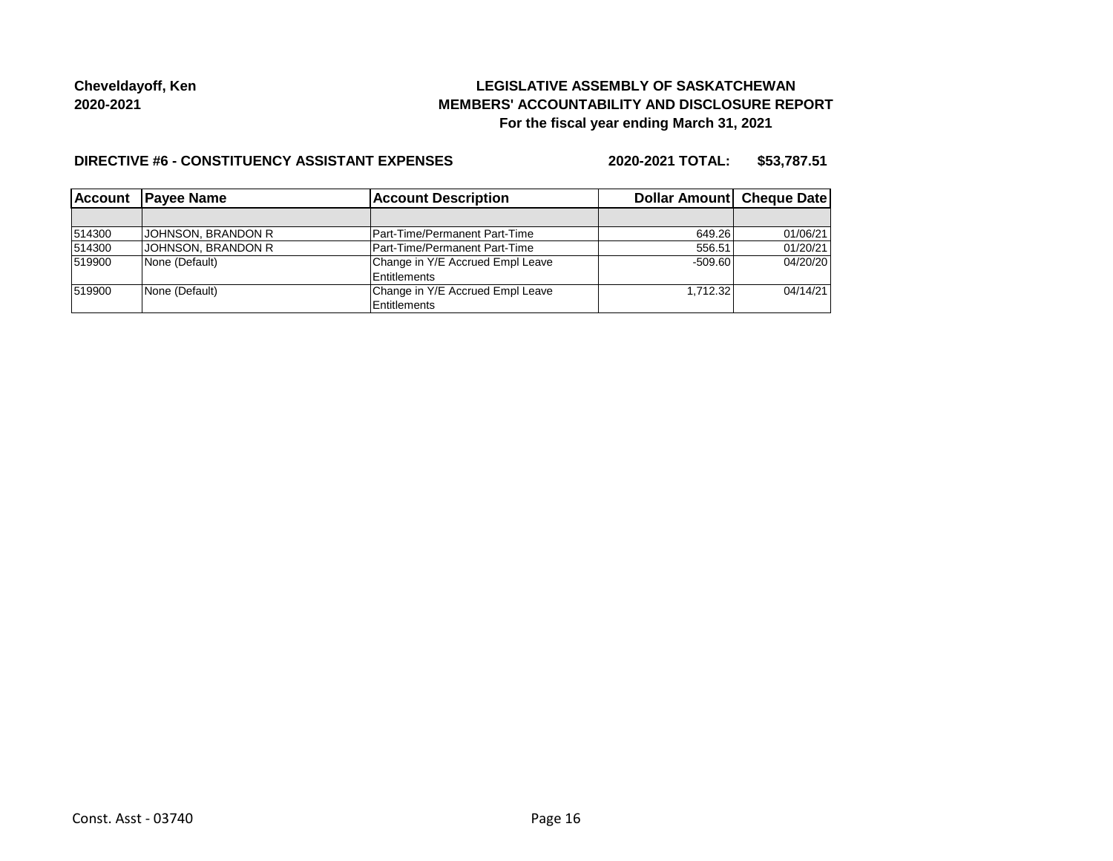# **LEGISLATIVE ASSEMBLY OF SASKATCHEWAN MEMBERS' ACCOUNTABILITY AND DISCLOSURE REPORT For the fiscal year ending March 31, 2021**

#### **DIRECTIVE #6 - CONSTITUENCY ASSISTANT EXPENSES**

**2020-2021 TOTAL: \$53,787.51**

| l Account | <b>Payee Name</b>         | <b>Account Description</b>       | Dollar Amount Cheque Date |          |
|-----------|---------------------------|----------------------------------|---------------------------|----------|
|           |                           |                                  |                           |          |
| 514300    | <b>JOHNSON, BRANDON R</b> | Part-Time/Permanent Part-Time    | 649.26                    | 01/06/21 |
| 514300    | JOHNSON, BRANDON R        | Part-Time/Permanent Part-Time    | 556.51                    | 01/20/21 |
| 519900    | None (Default)            | Change in Y/E Accrued Empl Leave | $-509.60$                 | 04/20/20 |
|           |                           | Entitlements                     |                           |          |
| 519900    | None (Default)            | Change in Y/E Accrued Empl Leave | 1.712.32                  | 04/14/21 |
|           |                           | Entitlements                     |                           |          |